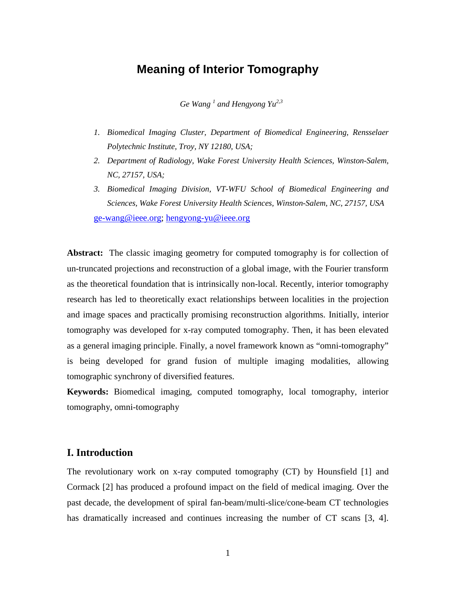# **Meaning of Interior Tomography**

*Ge Wang <sup>1</sup> and Hengyong Yu2,3* 

- *1. Biomedical Imaging Cluster, Department of Biomedical Engineering, Rensselaer Polytechnic Institute, Troy, NY 12180, USA;*
- *2. Department of Radiology, Wake Forest University Health Sciences, Winston-Salem, NC, 27157, USA;*
- *3. Biomedical Imaging Division, VT-WFU School of Biomedical Engineering and Sciences, Wake Forest University Health Sciences, Winston-Salem, NC, 27157, USA*

[ge-wang@ieee.org;](mailto:ge-wang@ieee.org) [hengyong-yu@ieee.org](mailto:hengyong-yu@ieee.org)

**Abstract:** The classic imaging geometry for computed tomography is for collection of un-truncated projections and reconstruction of a global image, with the Fourier transform as the theoretical foundation that is intrinsically non-local. Recently, interior tomography research has led to theoretically exact relationships between localities in the projection and image spaces and practically promising reconstruction algorithms. Initially, interior tomography was developed for x-ray computed tomography. Then, it has been elevated as a general imaging principle. Finally, a novel framework known as "omni-tomography" is being developed for grand fusion of multiple imaging modalities, allowing tomographic synchrony of diversified features.

**Keywords:** Biomedical imaging, computed tomography, local tomography, interior tomography, omni-tomography

## **I. Introduction**

The revolutionary work on x-ray computed tomography (CT) by Hounsfield [1] and Cormack [2] has produced a profound impact on the field of medical imaging. Over the past decade, the development of spiral fan-beam/multi-slice/cone-beam CT technologies has dramatically increased and continues increasing the number of CT scans [3, 4].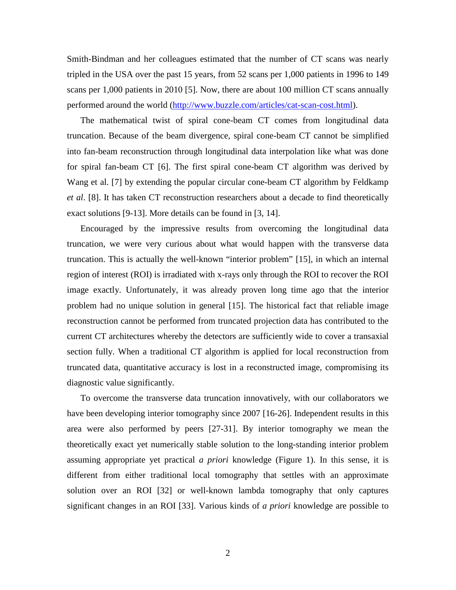Smith-Bindman and her colleagues estimated that the number of CT scans was nearly tripled in the USA over the past 15 years, from 52 scans per 1,000 patients in 1996 to 149 scans per 1,000 patients in 2010 [5]. Now, there are about 100 million CT scans annually performed around the world [\(http://www.buzzle.com/articles/cat-scan-cost.html\)](http://www.buzzle.com/articles/cat-scan-cost.html).

The mathematical twist of spiral cone-beam CT comes from longitudinal data truncation. Because of the beam divergence, spiral cone-beam CT cannot be simplified into fan-beam reconstruction through longitudinal data interpolation like what was done for spiral fan-beam CT [6]. The first spiral cone-beam CT algorithm was derived by Wang et al. [7] by extending the popular circular cone-beam CT algorithm by Feldkamp *et al*. [8]. It has taken CT reconstruction researchers about a decade to find theoretically exact solutions [9-13]. More details can be found in [3, 14].

Encouraged by the impressive results from overcoming the longitudinal data truncation, we were very curious about what would happen with the transverse data truncation. This is actually the well-known "interior problem" [15], in which an internal region of interest (ROI) is irradiated with x-rays only through the ROI to recover the ROI image exactly. Unfortunately, it was already proven long time ago that the interior problem had no unique solution in general [15]. The historical fact that reliable image reconstruction cannot be performed from truncated projection data has contributed to the current CT architectures whereby the detectors are sufficiently wide to cover a transaxial section fully. When a traditional CT algorithm is applied for local reconstruction from truncated data, quantitative accuracy is lost in a reconstructed image, compromising its diagnostic value significantly.

To overcome the transverse data truncation innovatively, with our collaborators we have been developing interior tomography since 2007 [16-26]. Independent results in this area were also performed by peers [27-31]. By interior tomography we mean the theoretically exact yet numerically stable solution to the long-standing interior problem assuming appropriate yet practical *a priori* knowledge (Figure 1). In this sense, it is different from either traditional local tomography that settles with an approximate solution over an ROI [32] or well-known lambda tomography that only captures significant changes in an ROI [33]. Various kinds of *a priori* knowledge are possible to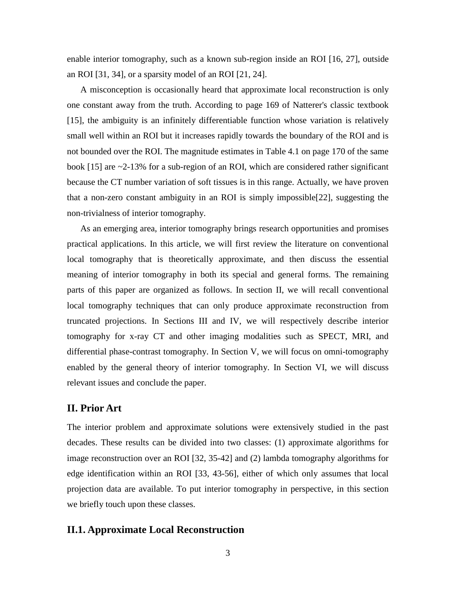enable interior tomography, such as a known sub-region inside an ROI [16, 27], outside an ROI [31, 34], or a sparsity model of an ROI [21, 24].

A misconception is occasionally heard that approximate local reconstruction is only one constant away from the truth. According to page 169 of Natterer's classic textbook [15], the ambiguity is an infinitely differentiable function whose variation is relatively small well within an ROI but it increases rapidly towards the boundary of the ROI and is not bounded over the ROI. The magnitude estimates in Table 4.1 on page 170 of the same book [15] are ~2-13% for a sub-region of an ROI, which are considered rather significant because the CT number variation of soft tissues is in this range. Actually, we have proven that a non-zero constant ambiguity in an ROI is simply impossible[22], suggesting the non-trivialness of interior tomography.

As an emerging area, interior tomography brings research opportunities and promises practical applications. In this article, we will first review the literature on conventional local tomography that is theoretically approximate, and then discuss the essential meaning of interior tomography in both its special and general forms. The remaining parts of this paper are organized as follows. In section II, we will recall conventional local tomography techniques that can only produce approximate reconstruction from truncated projections. In Sections III and IV, we will respectively describe interior tomography for x-ray CT and other imaging modalities such as SPECT, MRI, and differential phase-contrast tomography. In Section V, we will focus on omni-tomography enabled by the general theory of interior tomography. In Section VI, we will discuss relevant issues and conclude the paper.

#### **II. Prior Art**

The interior problem and approximate solutions were extensively studied in the past decades. These results can be divided into two classes: (1) approximate algorithms for image reconstruction over an ROI [32, 35-42] and (2) lambda tomography algorithms for edge identification within an ROI [33, 43-56], either of which only assumes that local projection data are available. To put interior tomography in perspective, in this section we briefly touch upon these classes.

#### **II.1. Approximate Local Reconstruction**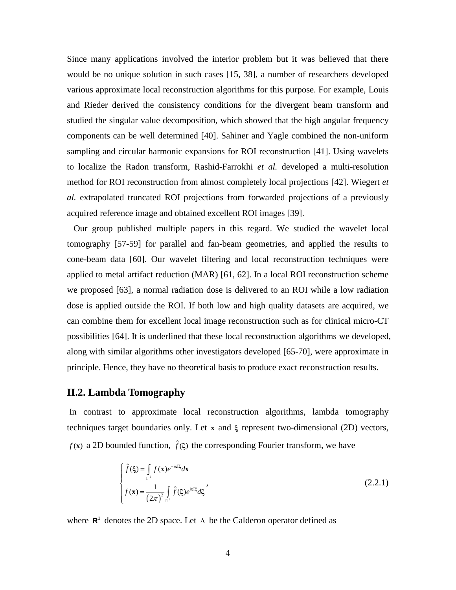Since many applications involved the interior problem but it was believed that there would be no unique solution in such cases [15, 38], a number of researchers developed various approximate local reconstruction algorithms for this purpose. For example, Louis and Rieder derived the consistency conditions for the divergent beam transform and studied the singular value decomposition, which showed that the high angular frequency components can be well determined [40]. Sahiner and Yagle combined the non-uniform sampling and circular harmonic expansions for ROI reconstruction [41]. Using wavelets to localize the Radon transform, Rashid-Farrokhi *et al.* developed a multi-resolution method for ROI reconstruction from almost completely local projections [42]. Wiegert *et al.* extrapolated truncated ROI projections from forwarded projections of a previously acquired reference image and obtained excellent ROI images [39].

 Our group published multiple papers in this regard. We studied the wavelet local tomography [57-59] for parallel and fan-beam geometries, and applied the results to cone-beam data [60]. Our wavelet filtering and local reconstruction techniques were applied to metal artifact reduction (MAR) [61, 62]. In a local ROI reconstruction scheme we proposed [63], a normal radiation dose is delivered to an ROI while a low radiation dose is applied outside the ROI. If both low and high quality datasets are acquired, we can combine them for excellent local image reconstruction such as for clinical micro-CT possibilities [64]. It is underlined that these local reconstruction algorithms we developed, along with similar algorithms other investigators developed [65-70], were approximate in principle. Hence, they have no theoretical basis to produce exact reconstruction results.

### **II.2. Lambda Tomography**

In contrast to approximate local reconstruction algorithms, lambda tomography techniques target boundaries only. Let **x** and **ξ** represent two-dimensional (2D) vectors, *f* (x) a 2D bounded function,  $\hat{f}(\xi)$  the corresponding Fourier transform, we have

$$
\begin{cases}\n\hat{f}(\xi) = \int_{\mathbb{R}^2} f(\mathbf{x}) e^{-i\mathbf{x} \cdot \mathbf{x}} d\mathbf{x} \\
f(\mathbf{x}) = \frac{1}{(2\pi)^2} \int_{\mathbb{R}^2} \hat{f}(\xi) e^{i\mathbf{x} \cdot \mathbf{x}} d\xi\n\end{cases}
$$
\n(2.2.1)

where  $\mathbb{R}^2$  denotes the 2D space. Let  $\Lambda$  be the Calderon operator defined as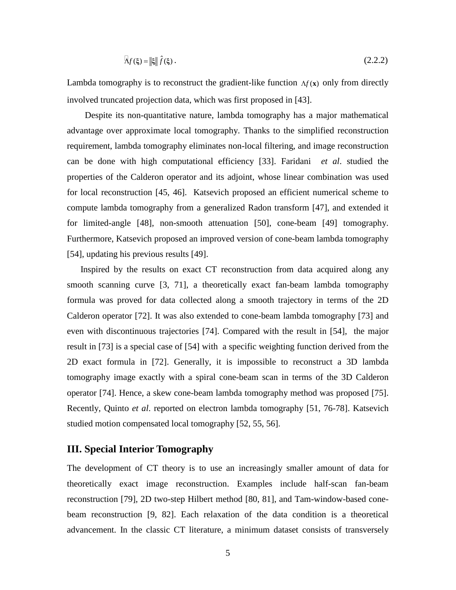$$
\mathcal{A}_f(\xi) = \|\xi\| \hat{f}(\xi) \,. \tag{2.2.2}
$$

Lambda tomography is to reconstruct the gradient-like function  $\Lambda f(x)$  only from directly involved truncated projection data, which was first proposed in [43].

 Despite its non-quantitative nature, lambda tomography has a major mathematical advantage over approximate local tomography. Thanks to the simplified reconstruction requirement, lambda tomography eliminates non-local filtering, and image reconstruction can be done with high computational efficiency [33]. Faridani *et al*. studied the properties of the Calderon operator and its adjoint, whose linear combination was used for local reconstruction [45, 46]. Katsevich proposed an efficient numerical scheme to compute lambda tomography from a generalized Radon transform [47], and extended it for limited-angle [48], non-smooth attenuation [50], cone-beam [49] tomography. Furthermore, Katsevich proposed an improved version of cone-beam lambda tomography [54], updating his previous results [49].

 Inspired by the results on exact CT reconstruction from data acquired along any smooth scanning curve [3, 71], a theoretically exact fan-beam lambda tomography formula was proved for data collected along a smooth trajectory in terms of the 2D Calderon operator [72]. It was also extended to cone-beam lambda tomography [73] and even with discontinuous trajectories [74]. Compared with the result in [54], the major result in [73] is a special case of [54] with a specific weighting function derived from the 2D exact formula in [72]. Generally, it is impossible to reconstruct a 3D lambda tomography image exactly with a spiral cone-beam scan in terms of the 3D Calderon operator [74]. Hence, a skew cone-beam lambda tomography method was proposed [75]. Recently, Quinto *et al*. reported on electron lambda tomography [51, 76-78]. Katsevich studied motion compensated local tomography [52, 55, 56].

#### **III. Special Interior Tomography**

The development of CT theory is to use an increasingly smaller amount of data for theoretically exact image reconstruction. Examples include half-scan fan-beam reconstruction [79], 2D two-step Hilbert method [80, 81], and Tam-window-based conebeam reconstruction [9, 82]. Each relaxation of the data condition is a theoretical advancement. In the classic CT literature, a minimum dataset consists of transversely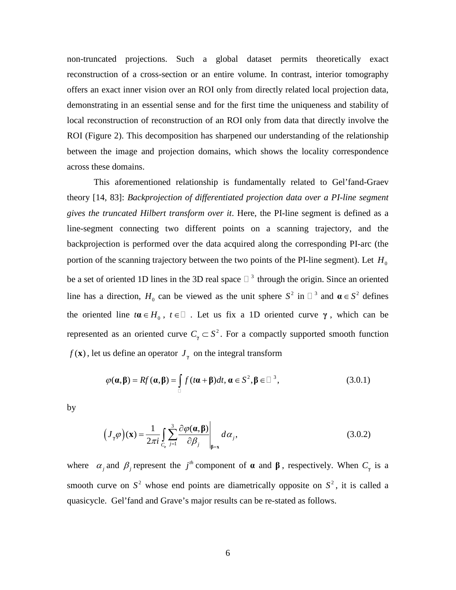non-truncated projections. Such a global dataset permits theoretically exact reconstruction of a cross-section or an entire volume. In contrast, interior tomography offers an exact inner vision over an ROI only from directly related local projection data, demonstrating in an essential sense and for the first time the uniqueness and stability of local reconstruction of reconstruction of an ROI only from data that directly involve the ROI (Figure 2). This decomposition has sharpened our understanding of the relationship between the image and projection domains, which shows the locality correspondence across these domains.

This aforementioned relationship is fundamentally related to Gel'fand-Graev theory [14, 83]: *Backprojection of differentiated projection data over a PI-line segment gives the truncated Hilbert transform over it*. Here, the PI-line segment is defined as a line-segment connecting two different points on a scanning trajectory, and the backprojection is performed over the data acquired along the corresponding PI-arc (the portion of the scanning trajectory between the two points of the PI-line segment). Let  $H_0$ be a set of oriented 1D lines in the 3D real space  $\Box$ <sup>3</sup> through the origin. Since an oriented line has a direction,  $H_0$  can be viewed as the unit sphere  $S^2$  in  $\square^3$  and  $\boldsymbol{\alpha} \in S^2$  defines the oriented line  $t\alpha \in H_0$ ,  $t \in \square$ . Let us fix a 1D oriented curve  $\gamma$ , which can be represented as an oriented curve  $C_{\gamma} \subset S^2$ . For a compactly supported smooth function  $f(\mathbf{x})$ , let us define an operator  $J_{\gamma}$  on the integral transform

$$
\varphi(\mathbf{a}, \mathbf{\beta}) = Rf(\mathbf{a}, \mathbf{\beta}) = \int_{\square} f(t\mathbf{a} + \mathbf{\beta})dt, \mathbf{a} \in S^2, \mathbf{\beta} \in \square^3,
$$
\n(3.0.1)

by

$$
(J_{\gamma}\varphi)(\mathbf{x}) = \frac{1}{2\pi i} \int_{C_{\mathbf{r}}} \sum_{j=1}^{3} \frac{\partial \varphi(\mathbf{\alpha}, \mathbf{\beta})}{\partial \beta_{j}} \bigg|_{\mathbf{\beta} = \mathbf{x}} d\alpha_{j}, \qquad (3.0.2)
$$

where  $\alpha_j$  and  $\beta_j$  represent the *j<sup>th</sup>* component of  $\alpha$  and  $\beta$ , respectively. When  $C_\gamma$  is a smooth curve on  $S^2$  whose end points are diametrically opposite on  $S^2$ , it is called a quasicycle. Gel'fand and Grave's major results can be re-stated as follows.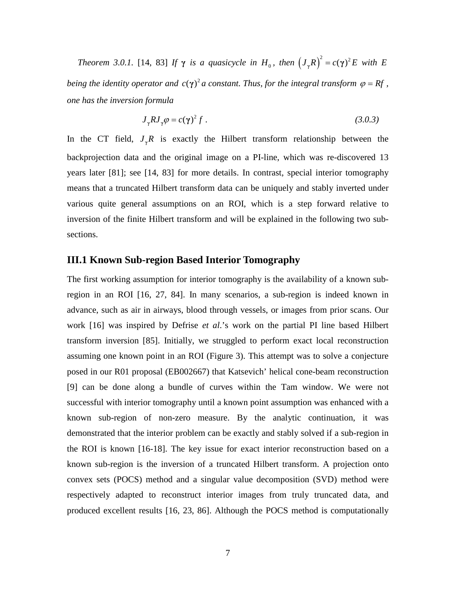*Theorem 3.0.1.* [14, 83] *If*  $\gamma$  *is a quasicycle in*  $H_0$ *, then*  $(J_{\gamma}R)^2 = c(\gamma)^2 E$  *with* E *being the identity operator and*  $c(\gamma)^2$  *a constant. Thus, for the integral transform*  $\varphi = Rf$ , *one has the inversion formula*

$$
J_{\gamma}RJ_{\gamma}\varphi = c(\gamma)^{2}f.
$$
 (3.0.3)

In the CT field,  $J_{\gamma}R$  is exactly the Hilbert transform relationship between the backprojection data and the original image on a PI-line, which was re-discovered 13 years later [81]; see [14, 83] for more details. In contrast, special interior tomography means that a truncated Hilbert transform data can be uniquely and stably inverted under various quite general assumptions on an ROI, which is a step forward relative to inversion of the finite Hilbert transform and will be explained in the following two subsections.

## **III.1 Known Sub-region Based Interior Tomography**

The first working assumption for interior tomography is the availability of a known subregion in an ROI [16, 27, 84]. In many scenarios, a sub-region is indeed known in advance, such as air in airways, blood through vessels, or images from prior scans. Our work [16] was inspired by Defrise *et al*.'s work on the partial PI line based Hilbert transform inversion [85]. Initially, we struggled to perform exact local reconstruction assuming one known point in an ROI (Figure 3). This attempt was to solve a conjecture posed in our R01 proposal (EB002667) that Katsevich' helical cone-beam reconstruction [9] can be done along a bundle of curves within the Tam window. We were not successful with interior tomography until a known point assumption was enhanced with a known sub-region of non-zero measure. By the analytic continuation, it was demonstrated that the interior problem can be exactly and stably solved if a sub-region in the ROI is known [16-18]. The key issue for exact interior reconstruction based on a known sub-region is the inversion of a truncated Hilbert transform. A projection onto convex sets (POCS) method and a singular value decomposition (SVD) method were respectively adapted to reconstruct interior images from truly truncated data, and produced excellent results [16, 23, 86]. Although the POCS method is computationally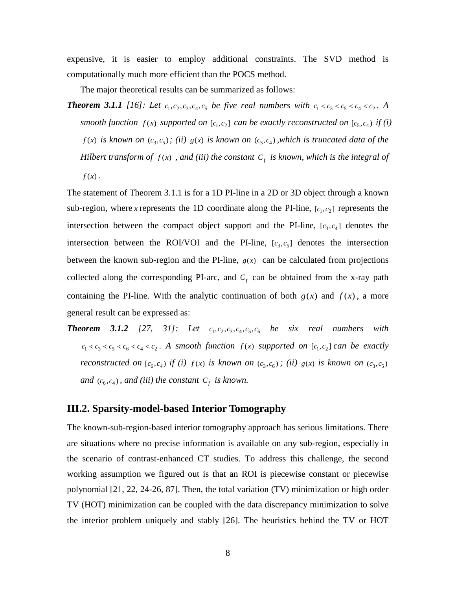expensive, it is easier to employ additional constraints. The SVD method is computationally much more efficient than the POCS method.

The major theoretical results can be summarized as follows:

*Theorem 3.1.1* [16]: Let  $c_1, c_2, c_3, c_4, c_5$  be five real numbers with  $c_1 < c_3 < c_5 < c_4 < c_2$ . A *smooth function*  $f(x)$  *supported on*  $[c_1, c_2]$  *can be exactly reconstructed on*  $[c_5, c_4)$  *if (i)*  $f(x)$  *is known on*  $(c_3, c_5)$ ; (*ii)*  $g(x)$  *is known on*  $(c_3, c_4)$ , *which is truncated data of the Hilbert transform of*  $f(x)$ , *and (iii) the constant*  $C_f$  *is known, which is the integral of*  $f(x)$ .

The statement of Theorem 3.1.1 is for a 1D PI-line in a 2D or 3D object through a known sub-region, where *x* represents the 1D coordinate along the PI-line,  $[c_1, c_2]$  represents the intersection between the compact object support and the PI-line,  $[c_3, c_4]$  denotes the intersection between the ROI/VOI and the PI-line,  $[c_3, c_5]$  denotes the intersection between the known sub-region and the PI-line,  $g(x)$  can be calculated from projections collected along the corresponding PI-arc, and  $C_f$  can be obtained from the x-ray path containing the PI-line. With the analytic continuation of both  $g(x)$  and  $f(x)$ , a more general result can be expressed as:

*Theorem 3.1.2* [27, 31]: Let  $c_1, c_2, c_3, c_4, c_5, c_6$  be six real numbers with  $c_1 < c_3 < c_5 < c_6 < c_4 < c_2$ . A smooth function  $f(x)$  supported on  $[c_1, c_2]$  can be exactly *reconstructed on*  $[c_6, c_4)$  *if (i)*  $f(x)$  *is known on*  $(c_3, c_6)$ ; *(ii)*  $g(x)$  *is known on*  $(c_3, c_5)$ *and*  $(c_6, c_4)$ *, and (iii) the constant*  $C_f$  *is known.* 

## **III.2. Sparsity-model-based Interior Tomography**

The known-sub-region-based interior tomography approach has serious limitations. There are situations where no precise information is available on any sub-region, especially in the scenario of contrast-enhanced CT studies. To address this challenge, the second working assumption we figured out is that an ROI is piecewise constant or piecewise polynomial [21, 22, 24-26, 87]. Then, the total variation (TV) minimization or high order TV (HOT) minimization can be coupled with the data discrepancy minimization to solve the interior problem uniquely and stably [26]. The heuristics behind the TV or HOT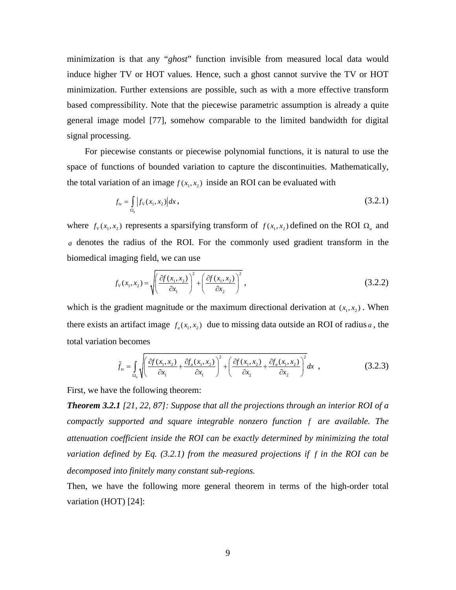minimization is that any "*ghost*" function invisible from measured local data would induce higher TV or HOT values. Hence, such a ghost cannot survive the TV or HOT minimization. Further extensions are possible, such as with a more effective transform based compressibility. Note that the piecewise parametric assumption is already a quite general image model [77], somehow comparable to the limited bandwidth for digital signal processing.

 For piecewise constants or piecewise polynomial functions, it is natural to use the space of functions of bounded variation to capture the discontinuities. Mathematically, the total variation of an image  $f(x_1, x_2)$  inside an ROI can be evaluated with

$$
f_{\nu} = \int_{\Omega_a} |f_{\nabla}(x_1, x_2)| dx,
$$
\n(3.2.1)

where  $f_{\rm v}(x_1, x_2)$  represents a sparsifying transform of  $f(x_1, x_2)$  defined on the ROI  $\Omega_a$  and *a* denotes the radius of the ROI. For the commonly used gradient transform in the biomedical imaging field, we can use

$$
f_{\rm v}(x_1, x_2) = \sqrt{\left(\frac{\partial f(x_1, x_2)}{\partial x_1}\right)^2 + \left(\frac{\partial f(x_1, x_2)}{\partial x_2}\right)^2},
$$
\n(3.2.2)

which is the gradient magnitude or the maximum directional derivation at  $(x_1, x_2)$ . When there exists an artifact image  $f_a(x_1, x_2)$  due to missing data outside an ROI of radius *a*, the total variation becomes

$$
\tilde{f}_{\nu} = \int_{\Omega_a} \sqrt{\left(\frac{\partial f(x_1, x_2)}{\partial x_1} + \frac{\partial f_a(x_1, x_2)}{\partial x_1}\right)^2 + \left(\frac{\partial f(x_1, x_2)}{\partial x_2} + \frac{\partial f_a(x_1, x_2)}{\partial x_2}\right)^2} dx \quad ,
$$
\n(3.2.3)

First, we have the following theorem:

*Theorem 3.2.1 [21, 22, 87]: Suppose that all the projections through an interior ROI of a compactly supported and square integrable nonzero function f are available. The attenuation coefficient inside the ROI can be exactly determined by minimizing the total variation defined by Eq. (3.2.1) from the measured projections if f in the ROI can be decomposed into finitely many constant sub-regions.*

Then, we have the following more general theorem in terms of the high-order total variation (HOT) [24]: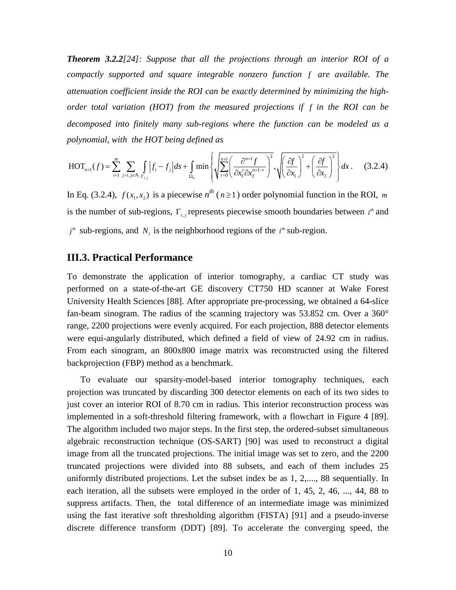*Theorem 3.2.2[24]: Suppose that all the projections through an interior ROI of a compactly supported and square integrable nonzero function f are available. The attenuation coefficient inside the ROI can be exactly determined by minimizing the highorder total variation (HOT) from the measured projections if f in the ROI can be decomposed into finitely many sub-regions where the function can be modeled as a polynomial, with the HOT being defined as*

$$
\text{HOT}_{n+1}(f) = \sum_{i=1}^{m} \sum_{j>i, j \in N_i} \int_{\Gamma_{i,j}} \left| f_i - f_j \right| ds + \int_{\Omega_a} \min \left\{ \sqrt{\sum_{r=0}^{n+1} \left( \frac{\partial^{n+1} f}{\partial x_1^r \partial x_2^{n+1-r}} \right)^2}, \sqrt{\left( \frac{\partial f}{\partial x_1} \right)^2 + \left( \frac{\partial f}{\partial x_2} \right)^2} \right\} dx \,. \tag{3.2.4}
$$

In Eq. (3.2.4),  $f(x_1, x_2)$  is a piecewise  $n^{th}$  ( $n \ge 1$ ) order polynomial function in the ROI, m is the number of sub-regions, Γ<sub>*i,j*</sub> represents piecewise smooth boundaries between *i*<sup>th</sup> and  $j<sup>th</sup>$  sub-regions, and  $N<sub>i</sub>$  is the neighborhood regions of the  $i<sup>th</sup>$  sub-region.

#### **III.3. Practical Performance**

To demonstrate the application of interior tomography, a cardiac CT study was performed on a state-of-the-art GE discovery CT750 HD scanner at Wake Forest University Health Sciences [88]. After appropriate pre-processing, we obtained a 64-slice fan-beam sinogram. The radius of the scanning trajectory was 53.852 cm. Over a 360° range, 2200 projections were evenly acquired. For each projection, 888 detector elements were equi-angularly distributed, which defined a field of view of 24.92 cm in radius. From each sinogram, an 800x800 image matrix was reconstructed using the filtered backprojection (FBP) method as a benchmark.

To evaluate our sparsity-model-based interior tomography techniques, each projection was truncated by discarding 300 detector elements on each of its two sides to just cover an interior ROI of 8.70 cm in radius. This interior reconstruction process was implemented in a soft-threshold filtering framework, with a flowchart in Figure 4 [89]. The algorithm included two major steps. In the first step, the ordered-subset simultaneous algebraic reconstruction technique (OS-SART) [90] was used to reconstruct a digital image from all the truncated projections. The initial image was set to zero, and the 2200 truncated projections were divided into 88 subsets, and each of them includes 25 uniformly distributed projections. Let the subset index be as 1, 2,...., 88 sequentially. In each iteration, all the subsets were employed in the order of 1, 45, 2, 46, ..., 44, 88 to suppress artifacts. Then, the total difference of an intermediate image was minimized using the fast iterative soft thresholding algorithm (FISTA) [91] and a pseudo-inverse discrete difference transform (DDT) [89]. To accelerate the converging speed, the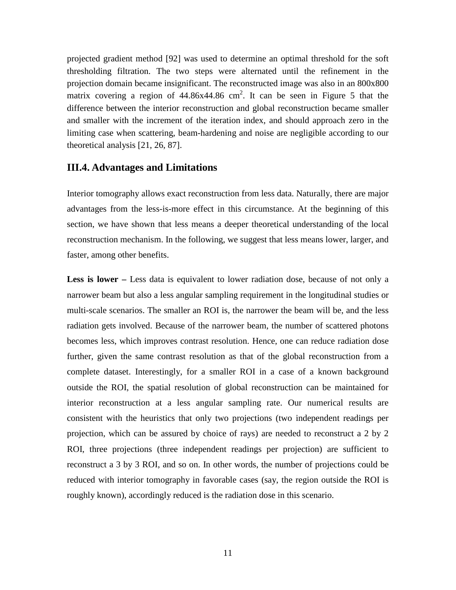projected gradient method [92] was used to determine an optimal threshold for the soft thresholding filtration. The two steps were alternated until the refinement in the projection domain became insignificant. The reconstructed image was also in an 800x800 matrix covering a region of  $44.86x44.86$  cm<sup>2</sup>. It can be seen in Figure 5 that the difference between the interior reconstruction and global reconstruction became smaller and smaller with the increment of the iteration index, and should approach zero in the limiting case when scattering, beam-hardening and noise are negligible according to our theoretical analysis [21, 26, 87].

#### **III.4. Advantages and Limitations**

Interior tomography allows exact reconstruction from less data. Naturally, there are major advantages from the less-is-more effect in this circumstance. At the beginning of this section, we have shown that less means a deeper theoretical understanding of the local reconstruction mechanism. In the following, we suggest that less means lower, larger, and faster, among other benefits.

**Less is lower –** Less data is equivalent to lower radiation dose, because of not only a narrower beam but also a less angular sampling requirement in the longitudinal studies or multi-scale scenarios. The smaller an ROI is, the narrower the beam will be, and the less radiation gets involved. Because of the narrower beam, the number of scattered photons becomes less, which improves contrast resolution. Hence, one can reduce radiation dose further, given the same contrast resolution as that of the global reconstruction from a complete dataset. Interestingly, for a smaller ROI in a case of a known background outside the ROI, the spatial resolution of global reconstruction can be maintained for interior reconstruction at a less angular sampling rate. Our numerical results are consistent with the heuristics that only two projections (two independent readings per projection, which can be assured by choice of rays) are needed to reconstruct a 2 by 2 ROI, three projections (three independent readings per projection) are sufficient to reconstruct a 3 by 3 ROI, and so on. In other words, the number of projections could be reduced with interior tomography in favorable cases (say, the region outside the ROI is roughly known), accordingly reduced is the radiation dose in this scenario.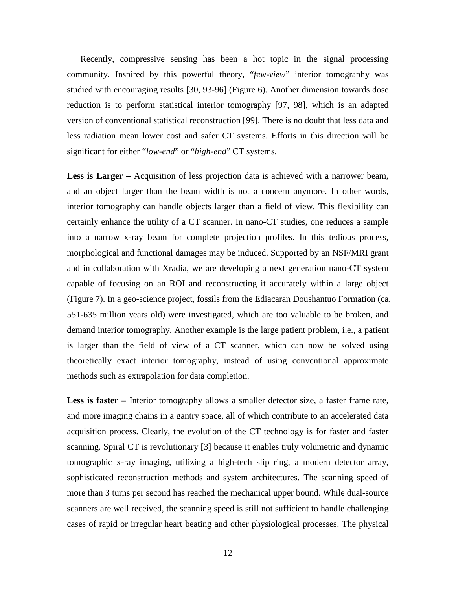Recently, compressive sensing has been a hot topic in the signal processing community. Inspired by this powerful theory, "*few-view*" interior tomography was studied with encouraging results [30, 93-96] (Figure 6). Another dimension towards dose reduction is to perform statistical interior tomography [97, 98], which is an adapted version of conventional statistical reconstruction [99]. There is no doubt that less data and less radiation mean lower cost and safer CT systems. Efforts in this direction will be significant for either "*low-end*" or "*high-end*" CT systems.

**Less is Larger –** Acquisition of less projection data is achieved with a narrower beam, and an object larger than the beam width is not a concern anymore. In other words, interior tomography can handle objects larger than a field of view. This flexibility can certainly enhance the utility of a CT scanner. In nano-CT studies, one reduces a sample into a narrow x-ray beam for complete projection profiles. In this tedious process, morphological and functional damages may be induced. Supported by an NSF/MRI grant and in collaboration with Xradia, we are developing a next generation nano-CT system capable of focusing on an ROI and reconstructing it accurately within a large object (Figure 7). In a geo-science project, fossils from the Ediacaran Doushantuo Formation (ca. 551-635 million years old) were investigated, which are too valuable to be broken, and demand interior tomography. Another example is the large patient problem, i.e., a patient is larger than the field of view of a CT scanner, which can now be solved using theoretically exact interior tomography, instead of using conventional approximate methods such as extrapolation for data completion.

**Less is faster** – Interior tomography allows a smaller detector size, a faster frame rate, and more imaging chains in a gantry space, all of which contribute to an accelerated data acquisition process. Clearly, the evolution of the CT technology is for faster and faster scanning. Spiral CT is revolutionary [3] because it enables truly volumetric and dynamic tomographic x-ray imaging, utilizing a high-tech slip ring, a modern detector array, sophisticated reconstruction methods and system architectures. The scanning speed of more than 3 turns per second has reached the mechanical upper bound. While dual-source scanners are well received, the scanning speed is still not sufficient to handle challenging cases of rapid or irregular heart beating and other physiological processes. The physical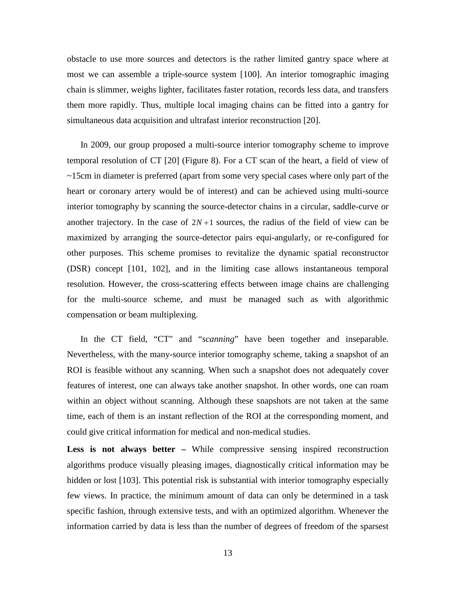obstacle to use more sources and detectors is the rather limited gantry space where at most we can assemble a triple-source system [100]. An interior tomographic imaging chain is slimmer, weighs lighter, facilitates faster rotation, records less data, and transfers them more rapidly. Thus, multiple local imaging chains can be fitted into a gantry for simultaneous data acquisition and ultrafast interior reconstruction [20].

 In 2009, our group proposed a multi-source interior tomography scheme to improve temporal resolution of CT [20] (Figure 8). For a CT scan of the heart, a field of view of ~15cm in diameter is preferred (apart from some very special cases where only part of the heart or coronary artery would be of interest) and can be achieved using multi-source interior tomography by scanning the source-detector chains in a circular, saddle-curve or another trajectory. In the case of  $2N+1$  sources, the radius of the field of view can be maximized by arranging the source-detector pairs equi-angularly, or re-configured for other purposes. This scheme promises to revitalize the dynamic spatial reconstructor (DSR) concept [101, 102], and in the limiting case allows instantaneous temporal resolution. However, the cross-scattering effects between image chains are challenging for the multi-source scheme, and must be managed such as with algorithmic compensation or beam multiplexing.

In the CT field, "CT" and "*scanning*" have been together and inseparable. Nevertheless, with the many-source interior tomography scheme, taking a snapshot of an ROI is feasible without any scanning. When such a snapshot does not adequately cover features of interest, one can always take another snapshot. In other words, one can roam within an object without scanning. Although these snapshots are not taken at the same time, each of them is an instant reflection of the ROI at the corresponding moment, and could give critical information for medical and non-medical studies.

Less is not always better – While compressive sensing inspired reconstruction algorithms produce visually pleasing images, diagnostically critical information may be hidden or lost [103]. This potential risk is substantial with interior tomography especially few views. In practice, the minimum amount of data can only be determined in a task specific fashion, through extensive tests, and with an optimized algorithm. Whenever the information carried by data is less than the number of degrees of freedom of the sparsest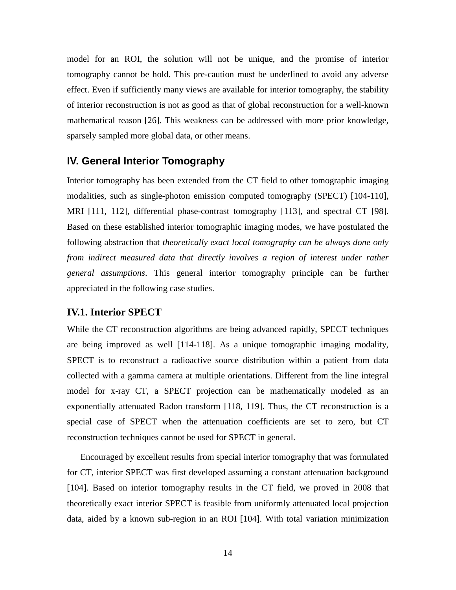model for an ROI, the solution will not be unique, and the promise of interior tomography cannot be hold. This pre-caution must be underlined to avoid any adverse effect. Even if sufficiently many views are available for interior tomography, the stability of interior reconstruction is not as good as that of global reconstruction for a well-known mathematical reason [26]. This weakness can be addressed with more prior knowledge, sparsely sampled more global data, or other means.

## **IV. General Interior Tomography**

Interior tomography has been extended from the CT field to other tomographic imaging modalities, such as single-photon emission computed tomography (SPECT) [104-110], MRI [111, 112], differential phase-contrast tomography [113], and spectral CT [98]. Based on these established interior tomographic imaging modes, we have postulated the following abstraction that *theoretically exact local tomography can be always done only from indirect measured data that directly involves a region of interest under rather general assumptions*. This general interior tomography principle can be further appreciated in the following case studies.

## **IV.1. Interior SPECT**

While the CT reconstruction algorithms are being advanced rapidly, SPECT techniques are being improved as well [114-118]. As a unique [tomographic](http://en.wikipedia.org/wiki/Tomography) imaging modality, SPECT is to reconstruct a radioactive source distribution within a patient from data collected with a gamma camera at multiple orientations. Different from the line integral model for x-ray CT, a SPECT projection can be mathematically modeled as an exponentially attenuated Radon transform [118, 119]. Thus, the CT reconstruction is a special case of SPECT when the attenuation coefficients are set to zero, but CT reconstruction techniques cannot be used for SPECT in general.

 Encouraged by excellent results from special interior tomography that was formulated for CT, interior SPECT was first developed assuming a constant attenuation background [104]. Based on interior tomography results in the CT field, we proved in 2008 that theoretically exact interior SPECT is feasible from uniformly attenuated local projection data, aided by a known sub-region in an ROI [104]. With total variation minimization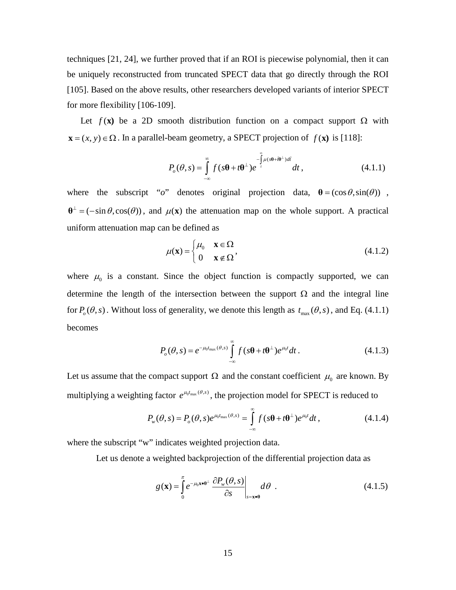techniques [21, 24], we further proved that if an ROI is piecewise polynomial, then it can be uniquely reconstructed from truncated SPECT data that go directly through the ROI [105]. Based on the above results, other researchers developed variants of interior SPECT for more flexibility [106-109].

Let  $f(\mathbf{x})$  be a 2D smooth distribution function on a compact support  $\Omega$  with  $\mathbf{x} = (x, y) \in \Omega$ . In a parallel-beam geometry, a SPECT projection of  $f(\mathbf{x})$  is [118]:

$$
P_o(\theta, s) = \int_{-\infty}^{\infty} f(s\theta + t\theta^{\perp}) e^{-\int_{t}^{\infty} \mu(s\theta + t\theta^{\perp})d\tilde{t}} dt,
$$
 (4.1.1)

where the subscript "*o*" denotes original projection data,  $\theta = (\cos \theta, \sin(\theta))$ ,  $\theta^{\perp}$  = ( $-\sin \theta$ , cos( $\theta$ )), and  $\mu$ (**x**) the attenuation map on the whole support. A practical uniform attenuation map can be defined as

$$
\mu(\mathbf{x}) = \begin{cases} \mu_0 & \mathbf{x} \in \Omega \\ 0 & \mathbf{x} \notin \Omega \end{cases}
$$
\n(4.1.2)

where  $\mu_0$  is a constant. Since the object function is compactly supported, we can determine the length of the intersection between the support  $\Omega$  and the integral line for  $P_o(\theta, s)$ . Without loss of generality, we denote this length as  $t_{\text{max}}(\theta, s)$ , and Eq. (4.1.1) becomes

$$
P_o(\theta, s) = e^{-\mu_0 t_{\text{max}}(\theta, s)} \int_{-\infty}^{\infty} f(s\theta + t\theta^{\perp}) e^{\mu_0 t} dt.
$$
 (4.1.3)

Let us assume that the compact support  $\Omega$  and the constant coefficient  $\mu_0$  are known. By multiplying a weighting factor  $e^{\mu_0 t_{\text{max}}(\theta, s)}$ , the projection model for SPECT is reduced to

$$
P_{w}(\theta, s) = P_o(\theta, s)e^{\mu_0 t_{\text{max}}(\theta, s)} = \int_{-\infty}^{\infty} f(s\theta + t\theta^{\perp})e^{\mu_0 t}dt,
$$
 (4.1.4)

where the subscript "w" indicates weighted projection data.

Let us denote a weighted backprojection of the differential projection data as

$$
g(\mathbf{x}) = \int_{0}^{\pi} e^{-\mu_0 \mathbf{x} \cdot \boldsymbol{\theta}^{\perp}} \left. \frac{\partial P_w(\boldsymbol{\theta}, \mathbf{s})}{\partial \mathbf{s}} \right|_{\mathbf{s} = \mathbf{x} \cdot \boldsymbol{\theta}} d\boldsymbol{\theta} \quad . \tag{4.1.5}
$$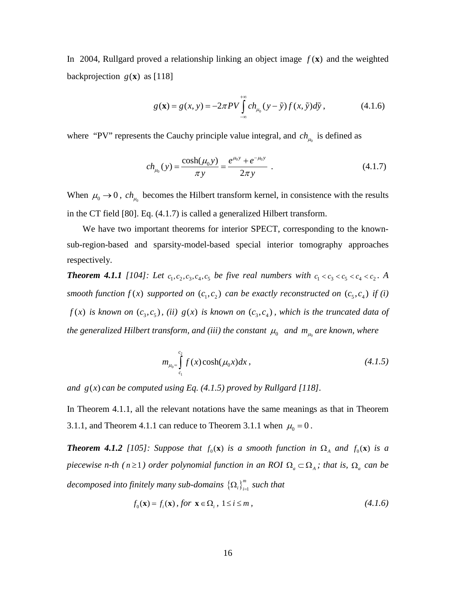In 2004, Rullgard proved a relationship linking an object image  $f(\mathbf{x})$  and the weighted backprojection  $g(\mathbf{x})$  as [118]

$$
g(\mathbf{x}) = g(x, y) = -2\pi P V \int_{-\infty}^{+\infty} ch_{\mu_0}(y - \tilde{y}) f(x, \tilde{y}) d\tilde{y},
$$
 (4.1.6)

where "PV" represents the Cauchy principle value integral, and  $ch_{\mu_0}$  is defined as

$$
ch_{\mu_0}(y) = \frac{\cosh(\mu_0 y)}{\pi y} = \frac{e^{\mu_0 y} + e^{-\mu_0 y}}{2\pi y} \ . \tag{4.1.7}
$$

When  $\mu_0 \rightarrow 0$ ,  $ch_{\mu_0}$  becomes the Hilbert transform kernel, in consistence with the results in the CT field [80]. Eq. (4.1.7) is called a generalized Hilbert transform.

 We have two important theorems for interior SPECT, corresponding to the knownsub-region-based and sparsity-model-based special interior tomography approaches respectively.

*Theorem 4.1.1* [104]: Let  $c_1, c_2, c_3, c_4, c_5$  be five real numbers with  $c_1 < c_3 < c_5 < c_4 < c_2$ . A *smooth function*  $f(x)$  *supported on*  $(c_1, c_2)$  *can be exactly reconstructed on*  $(c_5, c_4)$  *if (i)*  $f(x)$  *is known on*  $(c_3, c_5)$ , *(ii)*  $g(x)$  *is known on*  $(c_3, c_4)$ , *which is the truncated data of the generalized Hilbert transform, and (iii) the constant*  $\mu_0$  *and*  $m_{\mu_0}$  *are known, where* 

$$
m_{\mu_0} = \int_{c_1}^{c_2} f(x) \cosh(\mu_0 x) dx , \qquad (4.1.5)
$$

*and*  $g(x)$  *can be computed using Eq.*  $(4.1.5)$  *proved by Rullgard [118].* 

In Theorem 4.1.1, all the relevant notations have the same meanings as that in Theorem 3.1.1, and Theorem 4.1.1 can reduce to Theorem 3.1.1 when  $\mu_0 = 0$ .

*<i>Theorem 4.1.2* [105]: Suppose that  $f_0(x)$  *is a smooth function in*  $\Omega_A$  *and*  $f_0(x)$  *is a piecewise n-th* ( $n \geq 1$ ) order polynomial function in an ROI  $\Omega_a \subset \Omega_A$ ; *that is,*  $\Omega_a$  *can be*  $decomposed$  into finitely many sub-domains  $\left\{\mathbf{\Omega}_i\right\}_{i=1}^m$  such that

$$
f_0(\mathbf{x}) = f_i(\mathbf{x}), \text{ for } \mathbf{x} \in \Omega_i, 1 \le i \le m,
$$
\n(4.1.6)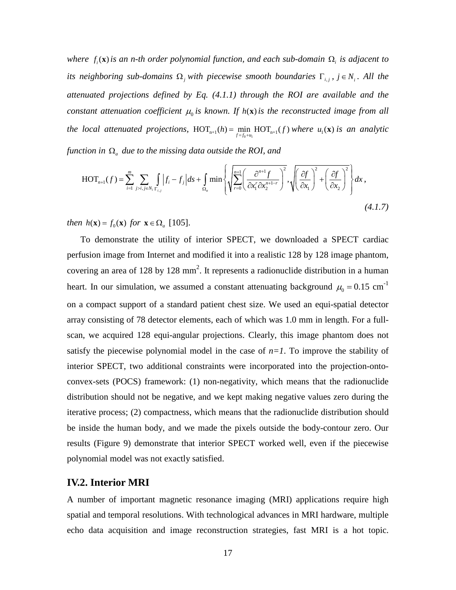*where*  $f_i(\mathbf{x})$  *is an n-th order polynomial function, and each sub-domain*  $\Omega_i$  *is adjacent to its neighboring sub-domains*  $\Omega_j$  *with piecewise smooth boundaries*  $\Gamma_{i,j}$ ,  $j \in N_i$ . All the *attenuated projections defined by Eq. (4.1.1) through the ROI are available and the constant attenuation coefficient*  $\mu_0$  *is known.* If  $h(\mathbf{x})$  *is the reconstructed image from all the local attenuated projections,*  $\text{HOT}_{n+1}(h) = \min_{f=f_0+u_1} \text{HOT}_{n+1}(f)$  where  $u_1(\mathbf{x})$  is an analytic *function in* Ω*<sup>a</sup> due to the missing data outside the ROI, and* 

$$
\text{HOT}_{n+1}(f) = \sum_{i=1}^{m} \sum_{j>i, j \in N_i} \int_{\Gamma_{i,j}} \left| f_i - f_j \right| ds + \int_{\Omega_a} \min \left\{ \sqrt{\sum_{r=0}^{n+1} \left( \frac{\partial^{n+1} f}{\partial x_1^r \partial x_2^{n+1-r}} \right)^2}, \sqrt{\left( \frac{\partial f}{\partial x_1} \right)^2 + \left( \frac{\partial f}{\partial x_2} \right)^2} \right\} dx,
$$
\n(4.1.7)

*then*  $h(x) = f_0(x)$  *for*  $x \in \Omega_a$  [105].

To demonstrate the utility of interior SPECT, we downloaded a SPECT cardiac perfusion image from Internet and modified it into a realistic 128 by 128 image phantom, covering an area of 128 by 128 mm<sup>2</sup>. It represents a radionuclide distribution in a human heart. In our simulation, we assumed a constant attenuating background  $\mu_0 = 0.15$  cm<sup>-1</sup> on a compact support of a standard patient chest size. We used an equi-spatial detector array consisting of 78 detector elements, each of which was 1.0 mm in length. For a fullscan, we acquired 128 equi-angular projections. Clearly, this image phantom does not satisfy the piecewise polynomial model in the case of  $n=1$ . To improve the stability of interior SPECT, two additional constraints were incorporated into the projection-ontoconvex-sets (POCS) framework: (1) non-negativity, which means that the radionuclide distribution should not be negative, and we kept making negative values zero during the iterative process; (2) compactness, which means that the radionuclide distribution should be inside the human body, and we made the pixels outside the body-contour zero. Our results (Figure 9) demonstrate that interior SPECT worked well, even if the piecewise polynomial model was not exactly satisfied.

#### **IV.2. Interior MRI**

A number of important magnetic resonance imaging (MRI) applications require high spatial and temporal resolutions. With technological advances in MRI hardware, multiple echo data acquisition and image reconstruction strategies, fast MRI is a hot topic.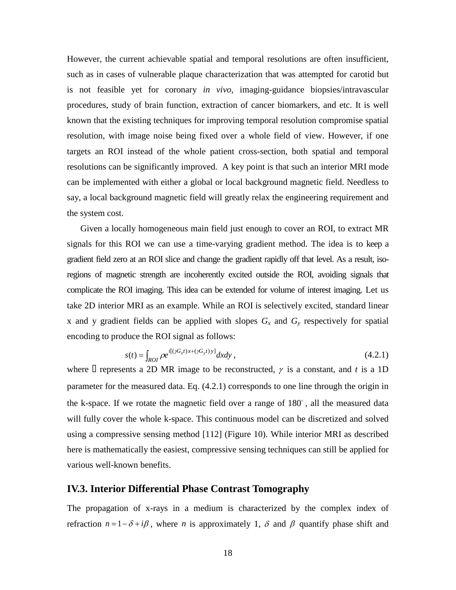However, the current achievable spatial and temporal resolutions are often insufficient, such as in cases of vulnerable plaque characterization that was attempted for carotid but is not feasible yet for coronary *in vivo*, imaging-guidance biopsies/intravascular procedures, study of brain function, extraction of cancer biomarkers, and etc. It is well known that the existing techniques for improving temporal resolution compromise spatial resolution, with image noise being fixed over a whole field of view. However, if one targets an ROI instead of the whole patient cross-section, both spatial and temporal resolutions can be significantly improved. A key point is that such an interior MRI mode can be implemented with either a global or local background magnetic field. Needless to say, a local background magnetic field will greatly relax the engineering requirement and the system cost.

Given a locally homogeneous main field just enough to cover an ROI, to extract MR signals for this ROI we can use a time-varying gradient method. The idea is to keep a gradient field zero at an ROI slice and change the gradient rapidly off that level. As a result, isoregions of magnetic strength are incoherently excited outside the ROI, avoiding signals that complicate the ROI imaging. This idea can be extended for volume of interest imaging. Let us take 2D interior MRI as an example. While an ROI is selectively excited, standard linear x and y gradient fields can be applied with slopes  $G_x$  and  $G_y$  respectively for spatial encoding to produce the ROI signal as follows:

$$
s(t) = \int_{ROI} \rho e^{i[(\gamma G_x t)x + (\gamma G_y t)y]} dx dy,
$$
\n(4.2.1)

where  $\Box$  represents a 2D MR image to be reconstructed,  $\gamma$  is a constant, and *t* is a 1D parameter for the measured data. Eq. (4.2.1) corresponds to one line through the origin in the k-space. If we rotate the magnetic field over a range of  $180^\circ$ , all the measured data will fully cover the whole k-space. This continuous model can be discretized and solved using a compressive sensing method [112] (Figure 10). While interior MRI as described here is mathematically the easiest, compressive sensing techniques can still be applied for various well-known benefits.

#### **IV.3. Interior Differential Phase Contrast Tomography**

The propagation of x-rays in a medium is characterized by the complex index of refraction  $n = 1 - \delta + i\beta$ , where *n* is approximately 1,  $\delta$  and  $\beta$  quantify phase shift and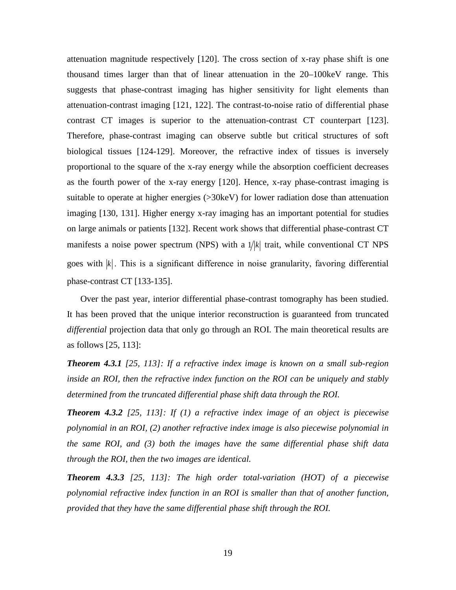attenuation magnitude respectively [120]. The cross section of x-ray phase shift is one thousand times larger than that of linear attenuation in the 20–100keV range. This suggests that phase-contrast imaging has higher sensitivity for light elements than attenuation-contrast imaging [121, 122]. The contrast-to-noise ratio of differential phase contrast CT images is superior to the attenuation-contrast CT counterpart [123]. Therefore, phase-contrast imaging can observe subtle but critical structures of soft biological tissues [124-129]. Moreover, the refractive index of tissues is inversely proportional to the square of the x-ray energy while the absorption coefficient decreases as the fourth power of the x-ray energy [120]. Hence, x-ray phase-contrast imaging is suitable to operate at higher energies ( $>30$ keV) for lower radiation dose than attenuation imaging [130, 131]. Higher energy x-ray imaging has an important potential for studies on large animals or patients [132]. Recent work shows that differential phase-contrast CT manifests a noise power spectrum (NPS) with a  $1/|k|$  trait, while conventional CT NPS goes with  $|k|$ . This is a significant difference in noise granularity, favoring differential phase-contrast CT [133-135].

Over the past year, interior differential phase-contrast tomography has been studied. It has been proved that the unique interior reconstruction is guaranteed from truncated *differential* projection data that only go through an ROI. The main theoretical results are as follows [25, 113]:

*Theorem 4.3.1 [25, 113]: If a refractive index image is known on a small sub-region inside an ROI, then the refractive index function on the ROI can be uniquely and stably determined from the truncated differential phase shift data through the ROI.*

*Theorem 4.3.2 [25, 113]: If (1) a refractive index image of an object is piecewise polynomial in an ROI, (2) another refractive index image is also piecewise polynomial in the same ROI, and (3) both the images have the same differential phase shift data through the ROI, then the two images are identical.*

*Theorem 4.3.3 [25, 113]: The high order total-variation (HOT) of a piecewise polynomial refractive index function in an ROI is smaller than that of another function, provided that they have the same differential phase shift through the ROI.*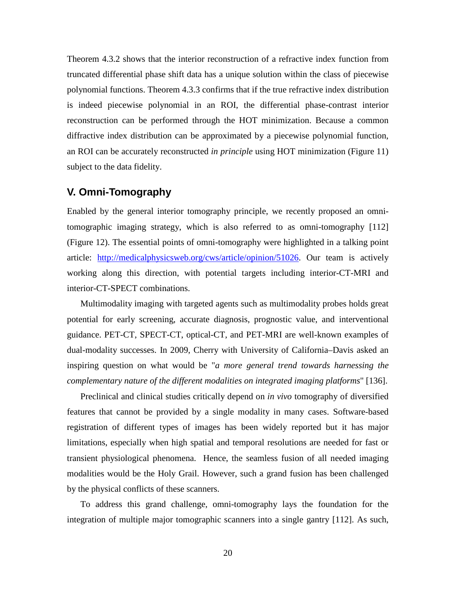Theorem 4.3.2 shows that the interior reconstruction of a refractive index function from truncated differential phase shift data has a unique solution within the class of piecewise polynomial functions. Theorem 4.3.3 confirms that if the true refractive index distribution is indeed piecewise polynomial in an ROI, the differential phase-contrast interior reconstruction can be performed through the HOT minimization. Because a common diffractive index distribution can be approximated by a piecewise polynomial function, an ROI can be accurately reconstructed *in principle* using HOT minimization (Figure 11) subject to the data fidelity.

### **V. Omni-Tomography**

Enabled by the general interior tomography principle, we recently proposed an omnitomographic imaging strategy, which is also referred to as omni-tomography [112] (Figure 12). The essential points of omni-tomography were highlighted in a talking point article: [http://medicalphysicsweb.org/cws/article/opinion/51026.](http://medicalphysicsweb.org/cws/article/opinion/51026) Our team is actively working along this direction, with potential targets including interior-CT-MRI and interior-CT-SPECT combinations.

Multimodality imaging with targeted agents such as multimodality probes holds great potential for early screening, accurate diagnosis, prognostic value, and interventional guidance. PET-CT, SPECT-CT, optical-CT, and PET-MRI are well-known examples of dual-modality successes. In 2009, Cherry with University of California–Davis asked an inspiring question on what would be "*a more general trend towards harnessing the complementary nature of the different modalities on integrated imaging platforms*" [136].

Preclinical and clinical studies critically depend on *in vivo* tomography of diversified features that cannot be provided by a single modality in many cases. Software-based registration of different types of images has been widely reported but it has major limitations, especially when high spatial and temporal resolutions are needed for fast or transient physiological phenomena. Hence, the seamless fusion of all needed imaging modalities would be the Holy Grail. However, such a grand fusion has been challenged by the physical conflicts of these scanners.

To address this grand challenge, omni-tomography lays the foundation for the integration of multiple major tomographic scanners into a single gantry [112]. As such,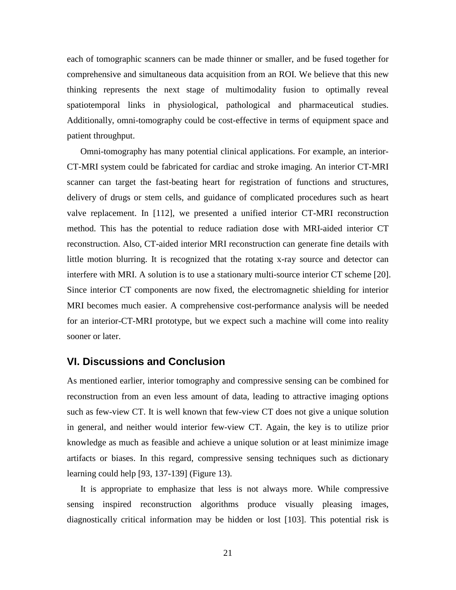each of tomographic scanners can be made thinner or smaller, and be fused together for comprehensive and simultaneous data acquisition from an ROI. We believe that this new thinking represents the next stage of multimodality fusion to optimally reveal spatiotemporal links in physiological, pathological and pharmaceutical studies. Additionally, omni-tomography could be cost-effective in terms of equipment space and patient throughput.

Omni-tomography has many potential clinical applications. For example, an interior-CT-MRI system could be fabricated for cardiac and stroke imaging. An interior CT-MRI scanner can target the fast-beating heart for registration of functions and structures, delivery of drugs or stem cells, and guidance of complicated procedures such as heart valve replacement. In [112], we presented a unified interior CT-MRI reconstruction method. This has the potential to reduce radiation dose with MRI-aided interior CT reconstruction. Also, CT-aided interior MRI reconstruction can generate fine details with little motion blurring. It is recognized that the rotating x-ray source and detector can interfere with MRI. A solution is to use a stationary multi-source interior CT scheme [20]. Since interior CT components are now fixed, the electromagnetic shielding for interior MRI becomes much easier. A comprehensive cost-performance analysis will be needed for an interior-CT-MRI prototype, but we expect such a machine will come into reality sooner or later.

## **VI. Discussions and Conclusion**

As mentioned earlier, interior tomography and compressive sensing can be combined for reconstruction from an even less amount of data, leading to attractive imaging options such as few-view CT. It is well known that few-view CT does not give a unique solution in general, and neither would interior few-view CT. Again, the key is to utilize prior knowledge as much as feasible and achieve a unique solution or at least minimize image artifacts or biases. In this regard, compressive sensing techniques such as dictionary learning could help [93, 137-139] (Figure 13).

It is appropriate to emphasize that less is not always more. While compressive sensing inspired reconstruction algorithms produce visually pleasing images, diagnostically critical information may be hidden or lost [103]. This potential risk is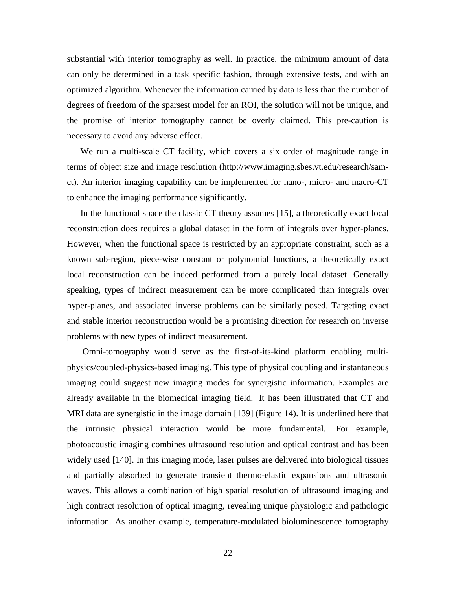substantial with interior tomography as well. In practice, the minimum amount of data can only be determined in a task specific fashion, through extensive tests, and with an optimized algorithm. Whenever the information carried by data is less than the number of degrees of freedom of the sparsest model for an ROI, the solution will not be unique, and the promise of interior tomography cannot be overly claimed. This pre-caution is necessary to avoid any adverse effect.

We run a multi-scale CT facility, which covers a six order of magnitude range in terms of object size and image resolution [\(http://www.imaging.sbes.vt.edu/research/sam](http://www.imaging.sbes.vt.edu/research/sam-ct)[ct\)](http://www.imaging.sbes.vt.edu/research/sam-ct). An interior imaging capability can be implemented for nano-, micro- and macro-CT to enhance the imaging performance significantly.

In the functional space the classic CT theory assumes [15], a theoretically exact local reconstruction does requires a global dataset in the form of integrals over hyper-planes. However, when the functional space is restricted by an appropriate constraint, such as a known sub-region, piece-wise constant or polynomial functions, a theoretically exact local reconstruction can be indeed performed from a purely local dataset. Generally speaking, types of indirect measurement can be more complicated than integrals over hyper-planes, and associated inverse problems can be similarly posed. Targeting exact and stable interior reconstruction would be a promising direction for research on inverse problems with new types of indirect measurement.

Omni-tomography would serve as the first-of-its-kind platform enabling multiphysics/coupled-physics-based imaging. This type of physical coupling and instantaneous imaging could suggest new imaging modes for synergistic information. Examples are already available in the biomedical imaging field. It has been illustrated that CT and MRI data are synergistic in the image domain [139] (Figure 14). It is underlined here that the intrinsic physical interaction would be more fundamental. For example, photoacoustic imaging combines ultrasound resolution and optical contrast and has been widely used [140]. In this imaging mode, laser pulses are delivered into biological tissues and partially absorbed to generate transient thermo-elastic expansions and ultrasonic waves. This allows a combination of high spatial resolution of ultrasound imaging and high contract resolution of optical imaging, revealing unique physiologic and pathologic information. As another example, temperature-modulated bioluminescence tomography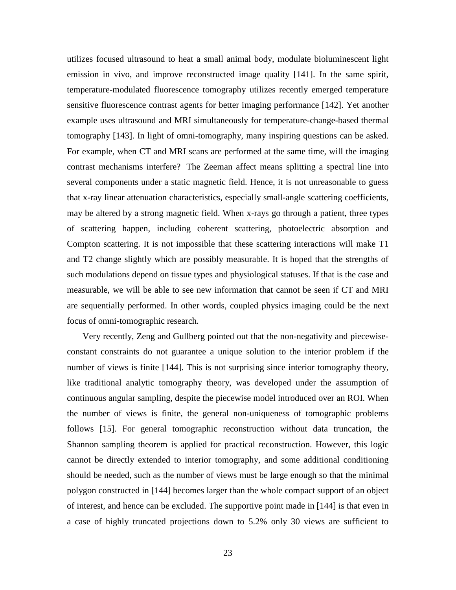utilizes focused ultrasound to heat a small animal body, modulate bioluminescent light emission in vivo, and improve reconstructed image quality [141]. In the same spirit, temperature-modulated fluorescence tomography utilizes recently emerged temperature sensitive fluorescence contrast agents for better imaging performance [142]. Yet another example uses ultrasound and MRI simultaneously for temperature-change-based thermal tomography [143]. In light of omni-tomography, many inspiring questions can be asked. For example, when CT and MRI scans are performed at the same time, will the imaging contrast mechanisms interfere? The Zeeman affect means splitting a spectral line into several components under a static magnetic field. Hence, it is not unreasonable to guess that x-ray linear attenuation characteristics, especially small-angle scattering coefficients, may be altered by a strong magnetic field. When x-rays go through a patient, three types of scattering happen, including coherent scattering, photoelectric absorption and Compton scattering. It is not impossible that these scattering interactions will make T1 and T2 change slightly which are possibly measurable. It is hoped that the strengths of such modulations depend on tissue types and physiological statuses. If that is the case and measurable, we will be able to see new information that cannot be seen if CT and MRI are sequentially performed. In other words, coupled physics imaging could be the next focus of omni-tomographic research.

 Very recently, Zeng and Gullberg pointed out that the non-negativity and piecewiseconstant constraints do not guarantee a unique solution to the interior problem if the number of views is finite [144]. This is not surprising since interior tomography theory, like traditional analytic tomography theory, was developed under the assumption of continuous angular sampling, despite the piecewise model introduced over an ROI. When the number of views is finite, the general non-uniqueness of tomographic problems follows [15]. For general tomographic reconstruction without data truncation, the Shannon sampling theorem is applied for practical reconstruction. However, this logic cannot be directly extended to interior tomography, and some additional conditioning should be needed, such as the number of views must be large enough so that the minimal polygon constructed in [144] becomes larger than the whole compact support of an object of interest, and hence can be excluded. The supportive point made in [144] is that even in a case of highly truncated projections down to 5.2% only 30 views are sufficient to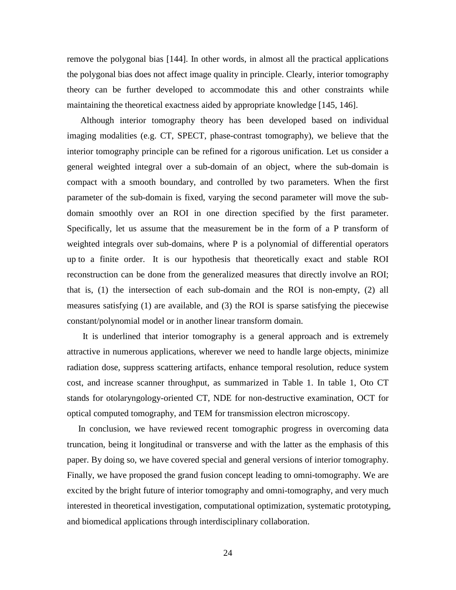remove the polygonal bias [144]. In other words, in almost all the practical applications the polygonal bias does not affect image quality in principle. Clearly, interior tomography theory can be further developed to accommodate this and other constraints while maintaining the theoretical exactness aided by appropriate knowledge [145, 146].

 Although interior tomography theory has been developed based on individual imaging modalities (e.g. CT, SPECT, phase-contrast tomography), we believe that the interior tomography principle can be refined for a rigorous unification. Let us consider a general weighted integral over a sub-domain of an object, where the sub-domain is compact with a smooth boundary, and controlled by two parameters. When the first parameter of the sub-domain is fixed, varying the second parameter will move the subdomain smoothly over an ROI in one direction specified by the first parameter. Specifically, let us assume that the measurement be in the form of a P transform of weighted integrals over sub-domains, where P is a polynomial of differential operators up to a finite order. It is our hypothesis that theoretically exact and stable ROI reconstruction can be done from the generalized measures that directly involve an ROI; that is, (1) the intersection of each sub-domain and the ROI is non-empty, (2) all measures satisfying (1) are available, and (3) the ROI is sparse satisfying the piecewise constant/polynomial model or in another linear transform domain.

It is underlined that interior tomography is a general approach and is extremely attractive in numerous applications, wherever we need to handle large objects, minimize radiation dose, suppress scattering artifacts, enhance temporal resolution, reduce system cost, and increase scanner throughput, as summarized in Table 1. In table 1, Oto CT stands for otolaryngology-oriented CT, NDE for non-destructive examination, OCT for optical computed tomography, and TEM for transmission electron microscopy.

In conclusion, we have reviewed recent tomographic progress in overcoming data truncation, being it longitudinal or transverse and with the latter as the emphasis of this paper. By doing so, we have covered special and general versions of interior tomography. Finally, we have proposed the grand fusion concept leading to omni-tomography. We are excited by the bright future of interior tomography and omni-tomography, and very much interested in theoretical investigation, computational optimization, systematic prototyping, and biomedical applications through interdisciplinary collaboration.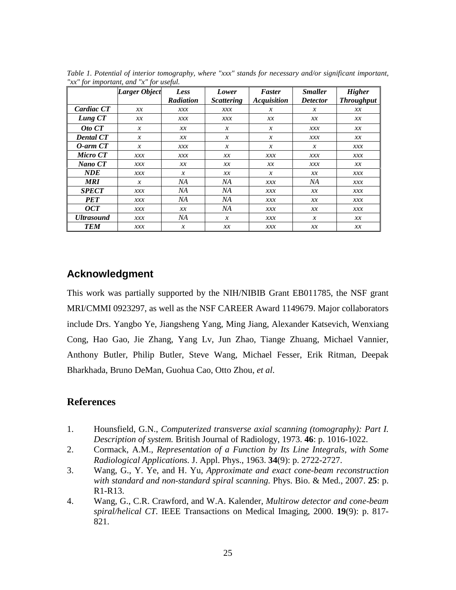| <i>rac</i> for important, and <i>re-for useful</i> . |                      |                  |                   |                    |                 |                   |
|------------------------------------------------------|----------------------|------------------|-------------------|--------------------|-----------------|-------------------|
|                                                      | <b>Larger Object</b> | Less             | Lower             | Faster             | <b>Smaller</b>  | <b>Higher</b>     |
|                                                      |                      | <b>Radiation</b> | <b>Scattering</b> | <b>Acquisition</b> | <b>Detector</b> | <b>Throughput</b> |
| Cardiac CT                                           | x x                  | xxx              | xxx               | $\mathcal{X}$      | $\mathcal{X}$   | x x               |
| Lung CT                                              | хx                   | xxx              | xxx               | x x                | x x             | хx                |
| Oto CT                                               | $\mathcal{X}$        | x x              | $\mathcal{X}$     | $\boldsymbol{x}$   | xxx             | хx                |
| <b>Dental CT</b>                                     | $\boldsymbol{x}$     | x x              | $\boldsymbol{x}$  | $\boldsymbol{x}$   | xxx             | хx                |
| $O$ -arm $CT$                                        | $\mathcal{X}$        | xxx              | $\boldsymbol{x}$  | $\boldsymbol{x}$   | $\mathcal{X}$   | xxx               |
| Micro CT                                             | xxx                  | xxx              | x x               | xxx                | xxx             | xxx               |
| Nano CT                                              | xxx                  | x x              | x x               | x x                | xxx             | x x               |
| <b>NDE</b>                                           | xxx                  | $\mathcal{X}$    | x x               | $\mathcal{X}$      | x x             | xxx               |
| <b>MRI</b>                                           | $\mathcal{X}$        | NA               | NА                | xxx                | NА              | xxx               |
| <b>SPECT</b>                                         | xxx                  | NА               | NА                | xxx                | x x             | xxx               |
| <b>PET</b>                                           | xxx                  | NА               | ΝA                | xxx                | x x             | xxx               |
| $\overline{OCT}$                                     | xxx                  | x x              | NА                | xxx                | x x             | xxx               |
| <b>Ultrasound</b>                                    | xxx                  | NA               | $\mathcal{X}$     | xxx                | $\mathcal{X}$   | $\chi\chi$        |
| <b>TEM</b>                                           | xxx                  | $\boldsymbol{x}$ | x x               | xxx                | x x             | x x               |

*Table 1. Potential of interior tomography, where "xxx" stands for necessary and/or significant important, "xx" for important, and "x" for useful.*

## **Acknowledgment**

This work was partially supported by the NIH/NIBIB Grant EB011785, the NSF grant MRI/CMMI 0923297, as well as the NSF CAREER Award 1149679. Major collaborators include Drs. Yangbo Ye, Jiangsheng Yang, Ming Jiang, Alexander Katsevich, Wenxiang Cong, Hao Gao, Jie Zhang, Yang Lv, Jun Zhao, Tiange Zhuang, Michael Vannier, Anthony Butler, Philip Butler, Steve Wang, Michael Fesser, Erik Ritman, Deepak Bharkhada, Bruno DeMan, Guohua Cao, Otto Zhou, *et al*.

## **References**

- 1. Hounsfield, G.N., *Computerized transverse axial scanning (tomography): Part I. Description of system.* British Journal of Radiology, 1973. **46**: p. 1016-1022.
- 2. Cormack, A.M., *Representation of a Function by Its Line Integrals, with Some Radiological Applications.* J. Appl. Phys., 1963. **34**(9): p. 2722-2727.
- 3. Wang, G., Y. Ye, and H. Yu, *Approximate and exact cone-beam reconstruction with standard and non-standard spiral scanning.* Phys. Bio. & Med., 2007. **25**: p. R1-R13.
- 4. Wang, G., C.R. Crawford, and W.A. Kalender, *Multirow detector and cone-beam spiral/helical CT.* IEEE Transactions on Medical Imaging, 2000. **19**(9): p. 817- 821.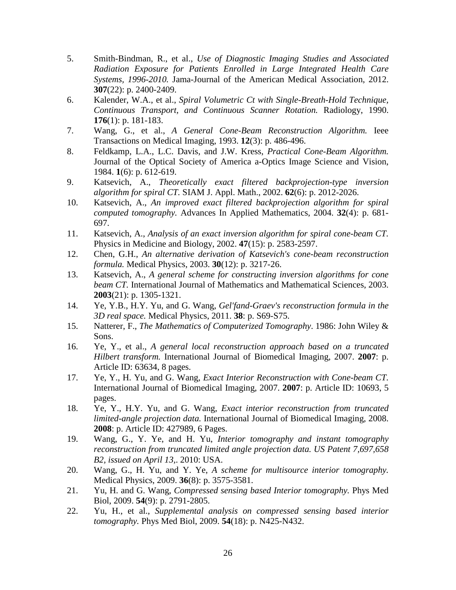- 5. Smith-Bindman, R., et al., *Use of Diagnostic Imaging Studies and Associated Radiation Exposure for Patients Enrolled in Large Integrated Health Care Systems, 1996-2010.* Jama-Journal of the American Medical Association, 2012. **307**(22): p. 2400-2409.
- 6. Kalender, W.A., et al., *Spiral Volumetric Ct with Single-Breath-Hold Technique, Continuous Transport, and Continuous Scanner Rotation.* Radiology, 1990. **176**(1): p. 181-183.
- 7. Wang, G., et al., *A General Cone-Beam Reconstruction Algorithm.* Ieee Transactions on Medical Imaging, 1993. **12**(3): p. 486-496.
- 8. Feldkamp, L.A., L.C. Davis, and J.W. Kress, *Practical Cone-Beam Algorithm.* Journal of the Optical Society of America a-Optics Image Science and Vision, 1984. **1**(6): p. 612-619.
- 9. Katsevich, A., *Theoretically exact filtered backprojection-type inversion algorithm for spiral CT.* SIAM J. Appl. Math., 2002. **62**(6): p. 2012-2026.
- 10. Katsevich, A., *An improved exact filtered backprojection algorithm for spiral computed tomography.* Advances In Applied Mathematics, 2004. **32**(4): p. 681- 697.
- 11. Katsevich, A., *Analysis of an exact inversion algorithm for spiral cone-beam CT.* Physics in Medicine and Biology, 2002. **47**(15): p. 2583-2597.
- 12. Chen, G.H., *An alternative derivation of Katsevich's cone-beam reconstruction formula.* Medical Physics, 2003. **30**(12): p. 3217-26.
- 13. Katsevich, A., *A general scheme for constructing inversion algorithms for cone beam CT.* International Journal of Mathematics and Mathematical Sciences, 2003. **2003**(21): p. 1305-1321.
- 14. Ye, Y.B., H.Y. Yu, and G. Wang, *Gel'fand-Graev's reconstruction formula in the 3D real space.* Medical Physics, 2011. **38**: p. S69-S75.
- 15. Natterer, F., *The Mathematics of Computerized Tomography*. 1986: John Wiley & Sons.
- 16. Ye, Y., et al., *A general local reconstruction approach based on a truncated Hilbert transform.* International Journal of Biomedical Imaging, 2007. **2007**: p. Article ID: 63634, 8 pages.
- 17. Ye, Y., H. Yu, and G. Wang, *Exact Interior Reconstruction with Cone-beam CT.* International Journal of Biomedical Imaging, 2007. **2007**: p. Article ID: 10693, 5 pages.
- 18. Ye, Y., H.Y. Yu, and G. Wang, *Exact interior reconstruction from truncated limited-angle projection data.* International Journal of Biomedical Imaging, 2008. **2008**: p. Article ID: 427989, 6 Pages.
- 19. Wang, G., Y. Ye, and H. Yu, *Interior tomography and instant tomography reconstruction from truncated limited angle projection data. US Patent 7,697,658 B2, issued on April 13,*. 2010: USA.
- 20. Wang, G., H. Yu, and Y. Ye, *A scheme for multisource interior tomography.* Medical Physics, 2009. **36**(8): p. 3575-3581.
- 21. Yu, H. and G. Wang, *Compressed sensing based Interior tomography.* Phys Med Biol, 2009. **54**(9): p. 2791-2805.
- 22. Yu, H., et al., *Supplemental analysis on compressed sensing based interior tomography.* Phys Med Biol, 2009. **54**(18): p. N425-N432.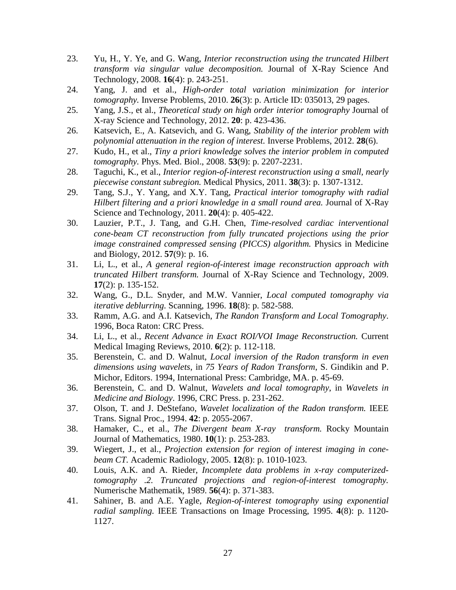- 23. Yu, H., Y. Ye, and G. Wang, *Interior reconstruction using the truncated Hilbert transform via singular value decomposition.* Journal of X-Ray Science And Technology, 2008. **16**(4): p. 243-251.
- 24. Yang, J. and et al., *High-order total variation minimization for interior tomography.* Inverse Problems, 2010. **26**(3): p. Article ID: 035013, 29 pages.
- 25. Yang, J.S., et al., *Theoretical study on high order interior tomography* Journal of X-ray Science and Technology, 2012. **20**: p. 423-436.
- 26. Katsevich, E., A. Katsevich, and G. Wang, *Stability of the interior problem with polynomial attenuation in the region of interest.* Inverse Problems, 2012. **28**(6).
- 27. Kudo, H., et al., *Tiny a priori knowledge solves the interior problem in computed tomography.* Phys. Med. Biol., 2008. **53**(9): p. 2207-2231.
- 28. Taguchi, K., et al., *Interior region-of-interest reconstruction using a small, nearly piecewise constant subregion.* Medical Physics, 2011. **38**(3): p. 1307-1312.
- 29. Tang, S.J., Y. Yang, and X.Y. Tang, *Practical interior tomography with radial Hilbert filtering and a priori knowledge in a small round area.* Journal of X-Ray Science and Technology, 2011. **20**(4): p. 405-422.
- 30. Lauzier, P.T., J. Tang, and G.H. Chen, *Time-resolved cardiac interventional cone-beam CT reconstruction from fully truncated projections using the prior image constrained compressed sensing (PICCS) algorithm.* Physics in Medicine and Biology, 2012. **57**(9): p. 16.
- 31. Li, L., et al., *A general region-of-interest image reconstruction approach with truncated Hilbert transform.* Journal of X-Ray Science and Technology, 2009. **17**(2): p. 135-152.
- 32. Wang, G., D.L. Snyder, and M.W. Vannier, *Local computed tomography via iterative deblurring.* Scanning, 1996. **18**(8): p. 582-588.
- 33. Ramm, A.G. and A.I. Katsevich, *The Randon Transform and Local Tomography*. 1996, Boca Raton: CRC Press.
- 34. Li, L., et al., *Recent Advance in Exact ROI/VOI Image Reconstruction.* Current Medical Imaging Reviews, 2010. **6**(2): p. 112-118.
- 35. Berenstein, C. and D. Walnut, *Local inversion of the Radon transform in even dimensions using wavelets*, in *75 Years of Radon Transform*, S. Gindikin and P. Michor, Editors. 1994, International Press: Cambridge, MA. p. 45-69.
- 36. Berenstein, C. and D. Walnut, *Wavelets and local tomography*, in *Wavelets in Medicine and Biology*. 1996, CRC Press. p. 231-262.
- 37. Olson, T. and J. DeStefano, *Wavelet localization of the Radon transform.* IEEE Trans. Signal Proc., 1994. **42**: p. 2055-2067.
- 38. Hamaker, C., et al., *The Divergent beam X-ray transform.* Rocky Mountain Journal of Mathematics, 1980. **10**(1): p. 253-283.
- 39. Wiegert, J., et al., *Projection extension for region of interest imaging in conebeam CT.* Academic Radiology, 2005. **12**(8): p. 1010-1023.
- 40. Louis, A.K. and A. Rieder, *Incomplete data problems in x-ray computerizedtomography .2. Truncated projections and region-of-interest tomography.* Numerische Mathematik, 1989. **56**(4): p. 371-383.
- 41. Sahiner, B. and A.E. Yagle, *Region-of-interest tomography using exponential radial sampling.* IEEE Transactions on Image Processing, 1995. **4**(8): p. 1120- 1127.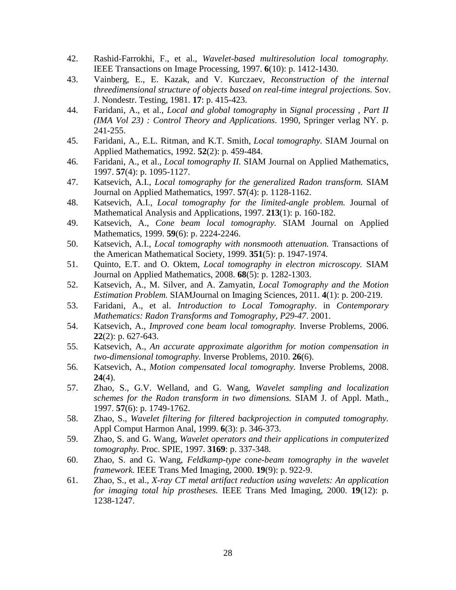- 42. Rashid-Farrokhi, F., et al., *Wavelet-based multiresolution local tomography.* IEEE Transactions on Image Processing, 1997. **6**(10): p. 1412-1430.
- 43. Vainberg, E., E. Kazak, and V. Kurczaev, *Reconstruction of the internal threedimensional structure of objects based on real-time integral projections.* Sov. J. Nondestr. Testing, 1981. **17**: p. 415-423.
- 44. Faridani, A., et al., *Local and global tomography* in *Signal processing , Part II (IMA Vol 23) : Control Theory and Applications*. 1990, Springer verlag NY. p. 241-255.
- 45. Faridani, A., E.L. Ritman, and K.T. Smith, *Local tomography.* SIAM Journal on Applied Mathematics, 1992. **52**(2): p. 459-484.
- 46. Faridani, A., et al., *Local tomography II.* SIAM Journal on Applied Mathematics, 1997. **57**(4): p. 1095-1127.
- 47. Katsevich, A.I., *Local tomography for the generalized Radon transform.* SIAM Journal on Applied Mathematics, 1997. **57**(4): p. 1128-1162.
- 48. Katsevich, A.I., *Local tomography for the limited-angle problem.* Journal of Mathematical Analysis and Applications, 1997. **213**(1): p. 160-182.
- 49. Katsevich, A., *Cone beam local tomography.* SIAM Journal on Applied Mathematics, 1999. **59**(6): p. 2224-2246.
- 50. Katsevich, A.I., *Local tomography with nonsmooth attenuation.* Transactions of the American Mathematical Society, 1999. **351**(5): p. 1947-1974.
- 51. Quinto, E.T. and O. Oktem, *Local tomography in electron microscopy.* SIAM Journal on Applied Mathematics, 2008. **68**(5): p. 1282-1303.
- 52. Katsevich, A., M. Silver, and A. Zamyatin, *Local Tomography and the Motion Estimation Problem.* SIAMJournal on Imaging Sciences, 2011. **4**(1): p. 200-219.
- 53. Faridani, A., et al. *Introduction to Local Tomography*. in *Contemporary Mathematics: Radon Transforms and Tomography, P29-47*. 2001.
- 54. Katsevich, A., *Improved cone beam local tomography.* Inverse Problems, 2006. **22**(2): p. 627-643.
- 55. Katsevich, A., *An accurate approximate algorithm for motion compensation in two-dimensional tomography.* Inverse Problems, 2010. **26**(6).
- 56. Katsevich, A., *Motion compensated local tomography.* Inverse Problems, 2008. **24**(4).
- 57. Zhao, S., G.V. Welland, and G. Wang, *Wavelet sampling and localization schemes for the Radon transform in two dimensions.* SIAM J. of Appl. Math., 1997. **57**(6): p. 1749-1762.
- 58. Zhao, S., *Wavelet filtering for filtered backprojection in computed tomography.* Appl Comput Harmon Anal, 1999. **6**(3): p. 346-373.
- 59. Zhao, S. and G. Wang, *Wavelet operators and their applications in computerized tomography.* Proc. SPIE, 1997. **3169**: p. 337-348.
- 60. Zhao, S. and G. Wang, *Feldkamp-type cone-beam tomography in the wavelet framework.* IEEE Trans Med Imaging, 2000. **19**(9): p. 922-9.
- 61. Zhao, S., et al., *X-ray CT metal artifact reduction using wavelets: An application for imaging total hip prostheses.* IEEE Trans Med Imaging, 2000. **19**(12): p. 1238-1247.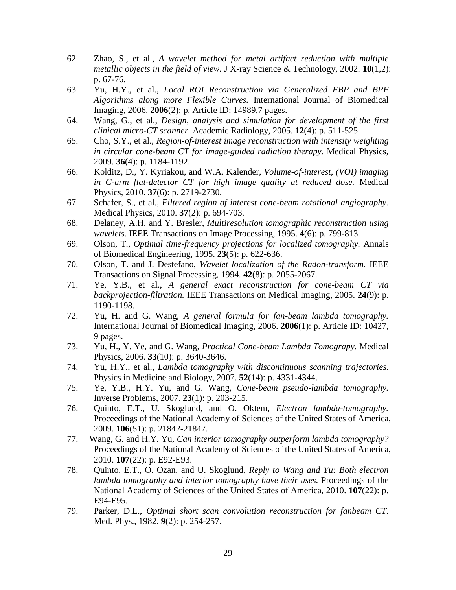- 62. Zhao, S., et al., *A wavelet method for metal artifact reduction with multiple metallic objects in the field of view.* J X-ray Science & Technology, 2002. **10**(1,2): p. 67-76.
- 63. Yu, H.Y., et al., *Local ROI Reconstruction via Generalized FBP and BPF Algorithms along more Flexible Curves.* International Journal of Biomedical Imaging, 2006. **2006**(2): p. Article ID: 14989,7 pages.
- 64. Wang, G., et al., *Design, analysis and simulation for development of the first clinical micro-CT scanner.* Academic Radiology, 2005. **12**(4): p. 511-525.
- 65. Cho, S.Y., et al., *Region-of-interest image reconstruction with intensity weighting in circular cone-beam CT for image-guided radiation therapy.* Medical Physics, 2009. **36**(4): p. 1184-1192.
- 66. Kolditz, D., Y. Kyriakou, and W.A. Kalender, *Volume-of-interest, (VOI) imaging in C-arm flat-detector CT for high image quality at reduced dose.* Medical Physics, 2010. **37**(6): p. 2719-2730.
- 67. Schafer, S., et al., *Filtered region of interest cone-beam rotational angiography.* Medical Physics, 2010. **37**(2): p. 694-703.
- 68. Delaney, A.H. and Y. Bresler, *Multiresolution tomographic reconstruction using wavelets.* IEEE Transactions on Image Processing, 1995. **4**(6): p. 799-813.
- 69. Olson, T., *Optimal time-frequency projections for localized tomography.* Annals of Biomedical Engineering, 1995. **23**(5): p. 622-636.
- 70. Olson, T. and J. Destefano, *Wavelet localization of the Radon-transform.* IEEE Transactions on Signal Processing, 1994. **42**(8): p. 2055-2067.
- 71. Ye, Y.B., et al., *A general exact reconstruction for cone-beam CT via backprojection-filtration.* IEEE Transactions on Medical Imaging, 2005. **24**(9): p. 1190-1198.
- 72. Yu, H. and G. Wang, *A general formula for fan-beam lambda tomography.* International Journal of Biomedical Imaging, 2006. **2006**(1): p. Article ID: 10427, 9 pages.
- 73. Yu, H., Y. Ye, and G. Wang, *Practical Cone-beam Lambda Tomograpy.* Medical Physics, 2006. **33**(10): p. 3640-3646.
- 74. Yu, H.Y., et al., *Lambda tomography with discontinuous scanning trajectories.* Physics in Medicine and Biology, 2007. **52**(14): p. 4331-4344.
- 75. Ye, Y.B., H.Y. Yu, and G. Wang, *Cone-beam pseudo-lambda tomography.* Inverse Problems, 2007. **23**(1): p. 203-215.
- 76. Quinto, E.T., U. Skoglund, and O. Oktem, *Electron lambda-tomography.* Proceedings of the National Academy of Sciences of the United States of America, 2009. **106**(51): p. 21842-21847.
- 77. Wang, G. and H.Y. Yu, *Can interior tomography outperform lambda tomography?* Proceedings of the National Academy of Sciences of the United States of America, 2010. **107**(22): p. E92-E93.
- 78. Quinto, E.T., O. Ozan, and U. Skoglund, *Reply to Wang and Yu: Both electron lambda tomography and interior tomography have their uses.* Proceedings of the National Academy of Sciences of the United States of America, 2010. **107**(22): p. E94-E95.
- 79. Parker, D.L., *Optimal short scan convolution reconstruction for fanbeam CT.* Med. Phys., 1982. **9**(2): p. 254-257.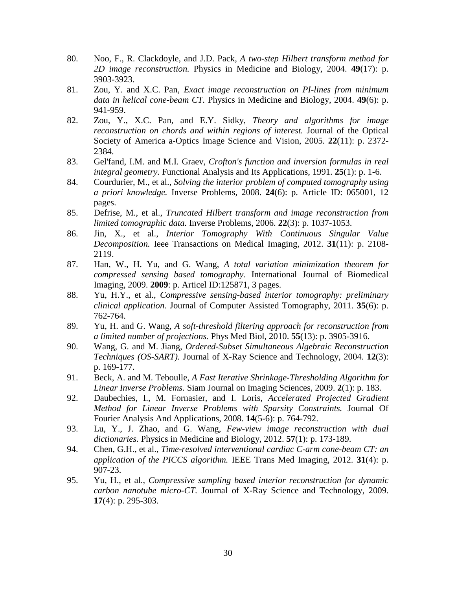- 80. Noo, F., R. Clackdoyle, and J.D. Pack, *A two-step Hilbert transform method for 2D image reconstruction.* Physics in Medicine and Biology, 2004. **49**(17): p. 3903-3923.
- 81. Zou, Y. and X.C. Pan, *Exact image reconstruction on PI-lines from minimum data in helical cone-beam CT.* Physics in Medicine and Biology, 2004. **49**(6): p. 941-959.
- 82. Zou, Y., X.C. Pan, and E.Y. Sidky, *Theory and algorithms for image reconstruction on chords and within regions of interest.* Journal of the Optical Society of America a-Optics Image Science and Vision, 2005. **22**(11): p. 2372- 2384.
- 83. Gel'fand, I.M. and M.I. Graev, *Crofton's function and inversion formulas in real integral geometry.* Functional Analysis and Its Applications, 1991. **25**(1): p. 1-6.
- 84. Courdurier, M., et al., *Solving the interior problem of computed tomography using a priori knowledge.* Inverse Problems, 2008. **24**(6): p. Article ID: 065001, 12 pages.
- 85. Defrise, M., et al., *Truncated Hilbert transform and image reconstruction from limited tomographic data.* Inverse Problems, 2006. **22**(3): p. 1037-1053.
- 86. Jin, X., et al., *Interior Tomography With Continuous Singular Value Decomposition.* Ieee Transactions on Medical Imaging, 2012. **31**(11): p. 2108- 2119.
- 87. Han, W., H. Yu, and G. Wang, *A total variation minimization theorem for compressed sensing based tomography.* International Journal of Biomedical Imaging, 2009. **2009**: p. Articel ID:125871, 3 pages.
- 88. Yu, H.Y., et al., *Compressive sensing-based interior tomography: preliminary clinical application.* Journal of Computer Assisted Tomography, 2011. **35**(6): p. 762-764.
- 89. Yu, H. and G. Wang, *A soft-threshold filtering approach for reconstruction from a limited number of projections.* Phys Med Biol, 2010. **55**(13): p. 3905-3916.
- 90. Wang, G. and M. Jiang, *Ordered-Subset Simultaneous Algebraic Reconstruction Techniques (OS-SART).* Journal of X-Ray Science and Technology, 2004. **12**(3): p. 169-177.
- 91. Beck, A. and M. Teboulle, *A Fast Iterative Shrinkage-Thresholding Algorithm for Linear Inverse Problems.* Siam Journal on Imaging Sciences, 2009. **2**(1): p. 183.
- 92. Daubechies, I., M. Fornasier, and I. Loris, *Accelerated Projected Gradient Method for Linear Inverse Problems with Sparsity Constraints.* Journal Of Fourier Analysis And Applications, 2008. **14**(5-6): p. 764-792.
- 93. Lu, Y., J. Zhao, and G. Wang, *Few-view image reconstruction with dual dictionaries.* Physics in Medicine and Biology, 2012. **57**(1): p. 173-189.
- 94. Chen, G.H., et al., *Time-resolved interventional cardiac C-arm cone-beam CT: an application of the PICCS algorithm.* IEEE Trans Med Imaging, 2012. **31**(4): p. 907-23.
- 95. Yu, H., et al., *Compressive sampling based interior reconstruction for dynamic carbon nanotube micro-CT.* Journal of X-Ray Science and Technology, 2009. **17**(4): p. 295-303.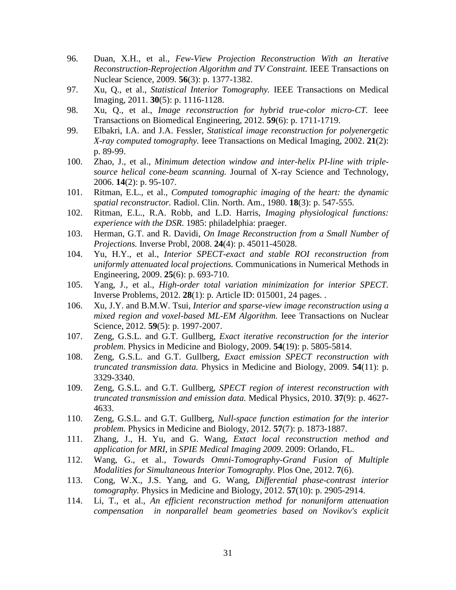- 96. Duan, X.H., et al., *Few-View Projection Reconstruction With an Iterative Reconstruction-Reprojection Algorithm and TV Constraint.* IEEE Transactions on Nuclear Science, 2009. **56**(3): p. 1377-1382.
- 97. Xu, Q., et al., *Statistical Interior Tomography.* IEEE Transactions on Medical Imaging, 2011. **30**(5): p. 1116-1128.
- 98. Xu, Q., et al., *Image reconstruction for hybrid true-color micro-CT.* Ieee Transactions on Biomedical Engineering, 2012. **59**(6): p. 1711-1719.
- 99. Elbakri, I.A. and J.A. Fessler, *Statistical image reconstruction for polyenergetic X-ray computed tomography.* Ieee Transactions on Medical Imaging, 2002. **21**(2): p. 89-99.
- 100. Zhao, J., et al., *Minimum detection window and inter-helix PI-line with triplesource helical cone-beam scanning.* Journal of X-ray Science and Technology, 2006. **14**(2): p. 95-107.
- 101. Ritman, E.L., et al., *Computed tomographic imaging of the heart: the dynamic spatial reconstructor.* Radiol. Clin. North. Am., 1980. **18**(3): p. 547-555.
- 102. Ritman, E.L., R.A. Robb, and L.D. Harris, *Imaging physiological functions: experience with the DSR*. 1985: philadelphia: praeger.
- 103. Herman, G.T. and R. Davidi, *On Image Reconstruction from a Small Number of Projections.* Inverse Probl, 2008. **24**(4): p. 45011-45028.
- 104. Yu, H.Y., et al., *Interior SPECT-exact and stable ROI reconstruction from uniformly attenuated local projections.* Communications in Numerical Methods in Engineering, 2009. **25**(6): p. 693-710.
- 105. Yang, J., et al., *High-order total variation minimization for interior SPECT.* Inverse Problems, 2012. **28**(1): p. Article ID: 015001, 24 pages. .
- 106. Xu, J.Y. and B.M.W. Tsui, *Interior and sparse-view image reconstruction using a mixed region and voxel-based ML-EM Algorithm.* Ieee Transactions on Nuclear Science, 2012. **59**(5): p. 1997-2007.
- 107. Zeng, G.S.L. and G.T. Gullberg, *Exact iterative reconstruction for the interior problem.* Physics in Medicine and Biology, 2009. **54**(19): p. 5805-5814.
- 108. Zeng, G.S.L. and G.T. Gullberg, *Exact emission SPECT reconstruction with truncated transmission data.* Physics in Medicine and Biology, 2009. **54**(11): p. 3329-3340.
- 109. Zeng, G.S.L. and G.T. Gullberg, *SPECT region of interest reconstruction with truncated transmission and emission data.* Medical Physics, 2010. **37**(9): p. 4627- 4633.
- 110. Zeng, G.S.L. and G.T. Gullberg, *Null-space function estimation for the interior problem.* Physics in Medicine and Biology, 2012. **57**(7): p. 1873-1887.
- 111. Zhang, J., H. Yu, and G. Wang, *Extact local reconstruction method and application for MRI*, in *SPIE Medical Imaging 2009*. 2009: Orlando, FL.
- 112. Wang, G., et al., *Towards Omni-Tomography-Grand Fusion of Multiple Modalities for Simultaneous Interior Tomography.* Plos One, 2012. **7**(6).
- 113. Cong, W.X., J.S. Yang, and G. Wang, *Differential phase-contrast interior tomography.* Physics in Medicine and Biology, 2012. **57**(10): p. 2905-2914.
- 114. Li, T., et al., *An efficient reconstruction method for nonuniform attenuation compensation in nonparallel beam geometries based on Novikov's explicit*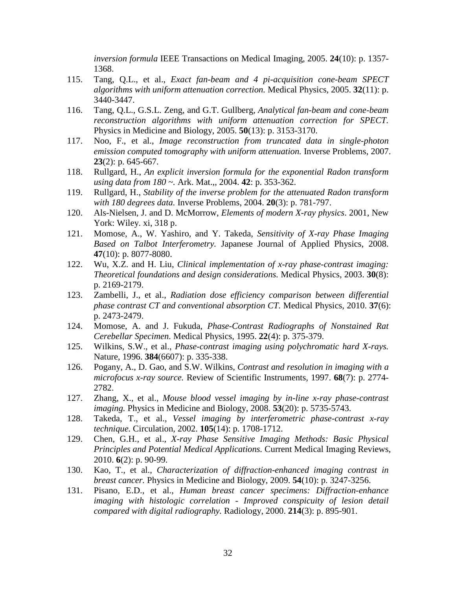*inversion formula* IEEE Transactions on Medical Imaging, 2005. **24**(10): p. 1357- 1368.

- 115. Tang, Q.L., et al., *Exact fan-beam and 4 pi-acquisition cone-beam SPECT algorithms with uniform attenuation correction.* Medical Physics, 2005. **32**(11): p. 3440-3447.
- 116. Tang, Q.L., G.S.L. Zeng, and G.T. Gullberg, *Analytical fan-beam and cone-beam reconstruction algorithms with uniform attenuation correction for SPECT.* Physics in Medicine and Biology, 2005. **50**(13): p. 3153-3170.
- 117. Noo, F., et al., *Image reconstruction from truncated data in single-photon emission computed tomography with uniform attenuation.* Inverse Problems, 2007. **23**(2): p. 645-667.
- 118. Rullgard, H., *An explicit inversion formula for the exponential Radon transform using data from 180 ~.* Ark. Mat.,, 2004. **42**: p. 353-362.
- 119. Rullgard, H., *Stability of the inverse problem for the attenuated Radon transform with 180 degrees data.* Inverse Problems, 2004. **20**(3): p. 781-797.
- 120. Als-Nielsen, J. and D. McMorrow, *Elements of modern X-ray physics*. 2001, New York: Wiley. xi, 318 p.
- 121. Momose, A., W. Yashiro, and Y. Takeda, *Sensitivity of X-ray Phase Imaging Based on Talbot Interferometry.* Japanese Journal of Applied Physics, 2008. **47**(10): p. 8077-8080.
- 122. Wu, X.Z. and H. Liu, *Clinical implementation of x-ray phase-contrast imaging: Theoretical foundations and design considerations.* Medical Physics, 2003. **30**(8): p. 2169-2179.
- 123. Zambelli, J., et al., *Radiation dose efficiency comparison between differential phase contrast CT and conventional absorption CT.* Medical Physics, 2010. **37**(6): p. 2473-2479.
- 124. Momose, A. and J. Fukuda, *Phase-Contrast Radiographs of Nonstained Rat Cerebellar Specimen.* Medical Physics, 1995. **22**(4): p. 375-379.
- 125. Wilkins, S.W., et al., *Phase-contrast imaging using polychromatic hard X-rays.* Nature, 1996. **384**(6607): p. 335-338.
- 126. Pogany, A., D. Gao, and S.W. Wilkins, *Contrast and resolution in imaging with a microfocus x-ray source.* Review of Scientific Instruments, 1997. **68**(7): p. 2774- 2782.
- 127. Zhang, X., et al., *Mouse blood vessel imaging by in-line x-ray phase-contrast imaging.* Physics in Medicine and Biology, 2008. **53**(20): p. 5735-5743.
- 128. Takeda, T., et al., *Vessel imaging by interferometric phase-contrast x-ray technique.* Circulation, 2002. **105**(14): p. 1708-1712.
- 129. Chen, G.H., et al., *X-ray Phase Sensitive Imaging Methods: Basic Physical Principles and Potential Medical Applications.* Current Medical Imaging Reviews, 2010. **6**(2): p. 90-99.
- 130. Kao, T., et al., *Characterization of diffraction-enhanced imaging contrast in breast cancer.* Physics in Medicine and Biology, 2009. **54**(10): p. 3247-3256.
- 131. Pisano, E.D., et al., *Human breast cancer specimens: Diffraction-enhance imaging with histologic correlation - Improved conspicuity of lesion detail compared with digital radiography.* Radiology, 2000. **214**(3): p. 895-901.